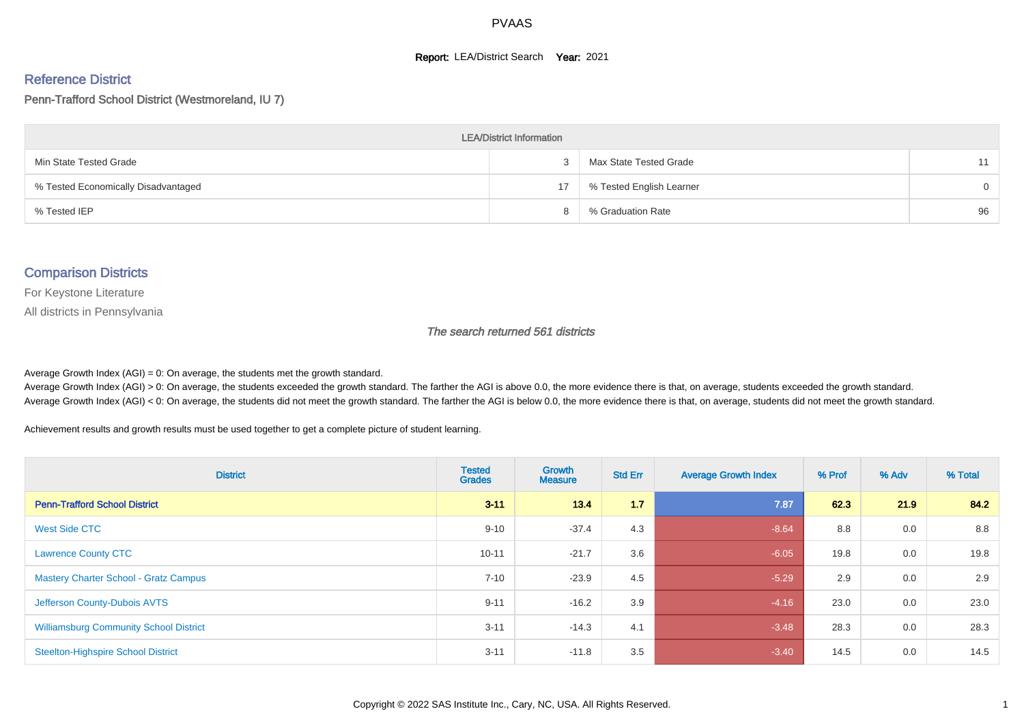#### **Report: LEA/District Search Year: 2021**

#### Reference District

#### Penn-Trafford School District (Westmoreland, IU 7)

| <b>LEA/District Information</b>     |    |                          |          |  |  |  |  |  |  |  |
|-------------------------------------|----|--------------------------|----------|--|--|--|--|--|--|--|
| Min State Tested Grade              |    | Max State Tested Grade   | 11       |  |  |  |  |  |  |  |
| % Tested Economically Disadvantaged | 17 | % Tested English Learner | $\Omega$ |  |  |  |  |  |  |  |
| % Tested IEP                        |    | % Graduation Rate        | 96       |  |  |  |  |  |  |  |

#### Comparison Districts

For Keystone Literature

All districts in Pennsylvania

The search returned 561 districts

Average Growth Index  $(AGI) = 0$ : On average, the students met the growth standard.

Average Growth Index (AGI) > 0: On average, the students exceeded the growth standard. The farther the AGI is above 0.0, the more evidence there is that, on average, students exceeded the growth standard. Average Growth Index (AGI) < 0: On average, the students did not meet the growth standard. The farther the AGI is below 0.0, the more evidence there is that, on average, students did not meet the growth standard.

Achievement results and growth results must be used together to get a complete picture of student learning.

| <b>District</b>                               | <b>Tested</b><br><b>Grades</b> | <b>Growth</b><br><b>Measure</b> | <b>Std Err</b> | <b>Average Growth Index</b> | % Prof | % Adv | % Total |
|-----------------------------------------------|--------------------------------|---------------------------------|----------------|-----------------------------|--------|-------|---------|
| <b>Penn-Trafford School District</b>          | $3 - 11$                       | 13.4                            | 1.7            | 7.87                        | 62.3   | 21.9  | 84.2    |
| West Side CTC                                 | $9 - 10$                       | $-37.4$                         | 4.3            | $-8.64$                     | 8.8    | 0.0   | 8.8     |
| <b>Lawrence County CTC</b>                    | $10 - 11$                      | $-21.7$                         | 3.6            | $-6.05$                     | 19.8   | 0.0   | 19.8    |
| <b>Mastery Charter School - Gratz Campus</b>  | $7 - 10$                       | $-23.9$                         | 4.5            | $-5.29$                     | 2.9    | 0.0   | 2.9     |
| Jefferson County-Dubois AVTS                  | $9 - 11$                       | $-16.2$                         | 3.9            | $-4.16$                     | 23.0   | 0.0   | 23.0    |
| <b>Williamsburg Community School District</b> | $3 - 11$                       | $-14.3$                         | 4.1            | $-3.48$                     | 28.3   | 0.0   | 28.3    |
| <b>Steelton-Highspire School District</b>     | $3 - 11$                       | $-11.8$                         | 3.5            | $-3.40$                     | 14.5   | 0.0   | 14.5    |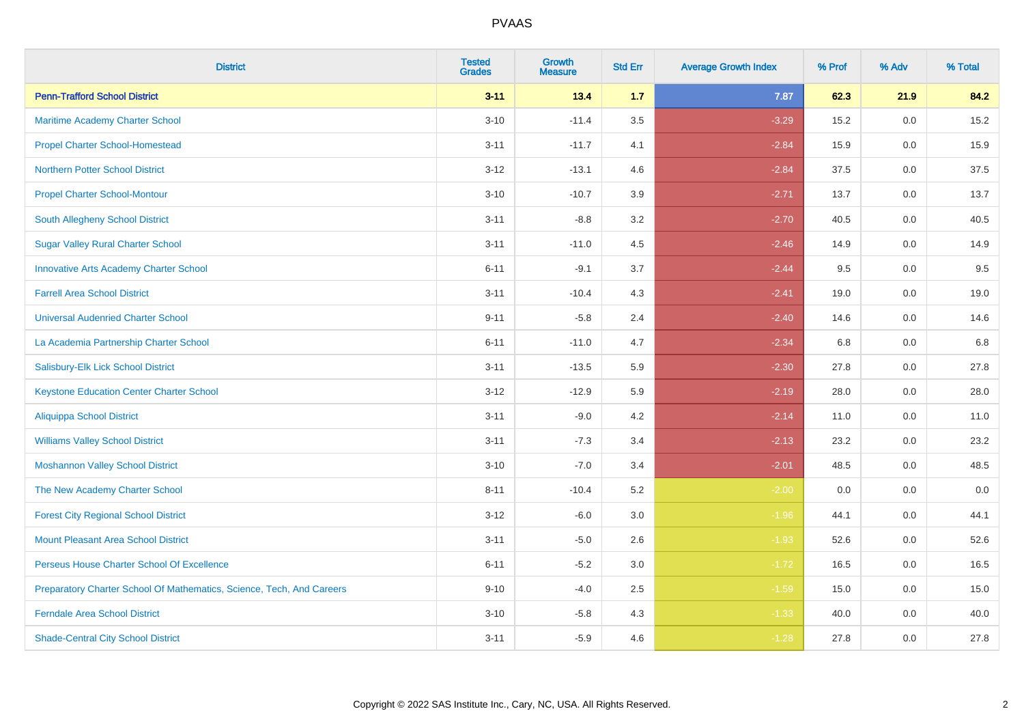| <b>District</b>                                                       | <b>Tested</b><br><b>Grades</b> | <b>Growth</b><br><b>Measure</b> | <b>Std Err</b> | <b>Average Growth Index</b> | % Prof | % Adv   | % Total |
|-----------------------------------------------------------------------|--------------------------------|---------------------------------|----------------|-----------------------------|--------|---------|---------|
| <b>Penn-Trafford School District</b>                                  | $3 - 11$                       | 13.4                            | 1.7            | 7.87                        | 62.3   | 21.9    | 84.2    |
| Maritime Academy Charter School                                       | $3 - 10$                       | $-11.4$                         | $3.5\,$        | $-3.29$                     | 15.2   | 0.0     | 15.2    |
| <b>Propel Charter School-Homestead</b>                                | $3 - 11$                       | $-11.7$                         | 4.1            | $-2.84$                     | 15.9   | 0.0     | 15.9    |
| <b>Northern Potter School District</b>                                | $3 - 12$                       | $-13.1$                         | 4.6            | $-2.84$                     | 37.5   | $0.0\,$ | 37.5    |
| <b>Propel Charter School-Montour</b>                                  | $3 - 10$                       | $-10.7$                         | 3.9            | $-2.71$                     | 13.7   | 0.0     | 13.7    |
| South Allegheny School District                                       | $3 - 11$                       | $-8.8$                          | 3.2            | $-2.70$                     | 40.5   | 0.0     | 40.5    |
| <b>Sugar Valley Rural Charter School</b>                              | $3 - 11$                       | $-11.0$                         | 4.5            | $-2.46$                     | 14.9   | 0.0     | 14.9    |
| <b>Innovative Arts Academy Charter School</b>                         | $6 - 11$                       | $-9.1$                          | 3.7            | $-2.44$                     | 9.5    | 0.0     | 9.5     |
| <b>Farrell Area School District</b>                                   | $3 - 11$                       | $-10.4$                         | 4.3            | $-2.41$                     | 19.0   | 0.0     | 19.0    |
| <b>Universal Audenried Charter School</b>                             | $9 - 11$                       | $-5.8$                          | 2.4            | $-2.40$                     | 14.6   | 0.0     | 14.6    |
| La Academia Partnership Charter School                                | $6 - 11$                       | $-11.0$                         | 4.7            | $-2.34$                     | 6.8    | 0.0     | 6.8     |
| Salisbury-Elk Lick School District                                    | $3 - 11$                       | $-13.5$                         | 5.9            | $-2.30$                     | 27.8   | 0.0     | 27.8    |
| <b>Keystone Education Center Charter School</b>                       | $3-12$                         | $-12.9$                         | 5.9            | $-2.19$                     | 28.0   | 0.0     | 28.0    |
| <b>Aliquippa School District</b>                                      | $3 - 11$                       | $-9.0$                          | 4.2            | $-2.14$                     | 11.0   | 0.0     | 11.0    |
| <b>Williams Valley School District</b>                                | $3 - 11$                       | $-7.3$                          | 3.4            | $-2.13$                     | 23.2   | 0.0     | 23.2    |
| <b>Moshannon Valley School District</b>                               | $3 - 10$                       | $-7.0$                          | 3.4            | $-2.01$                     | 48.5   | $0.0\,$ | 48.5    |
| The New Academy Charter School                                        | $8 - 11$                       | $-10.4$                         | 5.2            | $-2.00$                     | 0.0    | 0.0     | 0.0     |
| <b>Forest City Regional School District</b>                           | $3 - 12$                       | $-6.0$                          | 3.0            | $-1.96$                     | 44.1   | 0.0     | 44.1    |
| <b>Mount Pleasant Area School District</b>                            | $3 - 11$                       | $-5.0$                          | 2.6            | $-1.93$                     | 52.6   | 0.0     | 52.6    |
| Perseus House Charter School Of Excellence                            | $6 - 11$                       | $-5.2$                          | 3.0            | $-1.72$                     | 16.5   | 0.0     | 16.5    |
| Preparatory Charter School Of Mathematics, Science, Tech, And Careers | $9 - 10$                       | $-4.0$                          | 2.5            | $-1.59$                     | 15.0   | 0.0     | 15.0    |
| <b>Ferndale Area School District</b>                                  | $3 - 10$                       | $-5.8$                          | 4.3            | $-1.33$                     | 40.0   | 0.0     | 40.0    |
| <b>Shade-Central City School District</b>                             | $3 - 11$                       | $-5.9$                          | 4.6            | $-1.28$                     | 27.8   | 0.0     | 27.8    |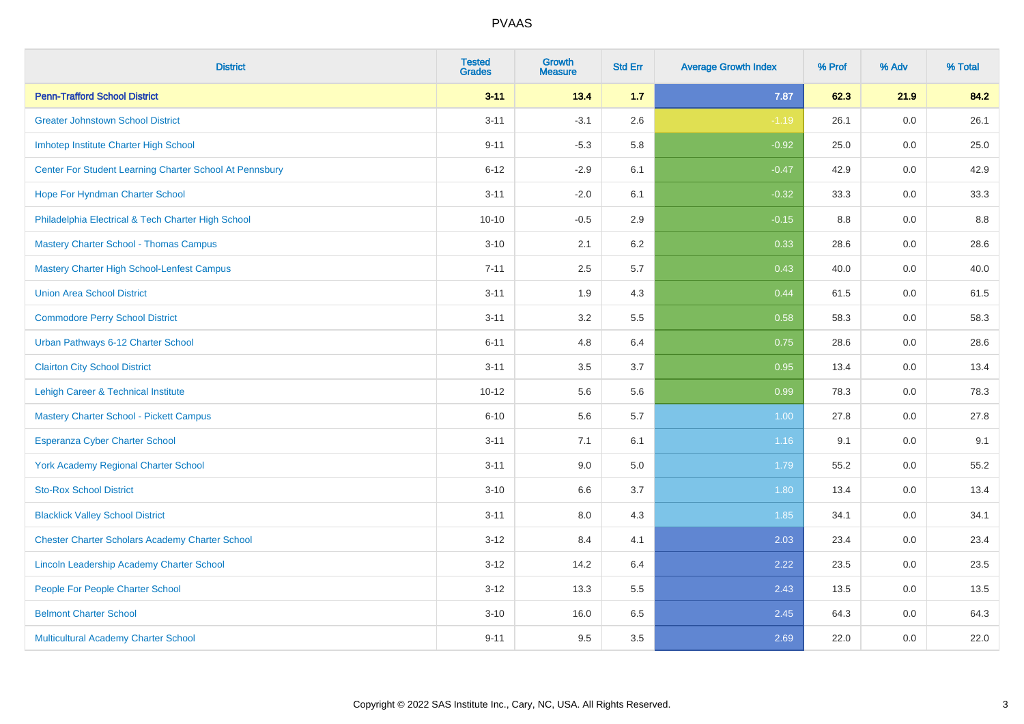| <b>District</b>                                         | <b>Tested</b><br><b>Grades</b> | <b>Growth</b><br><b>Measure</b> | <b>Std Err</b> | <b>Average Growth Index</b> | % Prof | % Adv   | % Total |
|---------------------------------------------------------|--------------------------------|---------------------------------|----------------|-----------------------------|--------|---------|---------|
| <b>Penn-Trafford School District</b>                    | $3 - 11$                       | 13.4                            | $1.7$          | 7.87                        | 62.3   | 21.9    | 84.2    |
| <b>Greater Johnstown School District</b>                | $3 - 11$                       | $-3.1$                          | 2.6            | $-1.19$                     | 26.1   | 0.0     | 26.1    |
| Imhotep Institute Charter High School                   | $9 - 11$                       | $-5.3$                          | 5.8            | $-0.92$                     | 25.0   | 0.0     | 25.0    |
| Center For Student Learning Charter School At Pennsbury | $6 - 12$                       | $-2.9$                          | 6.1            | $-0.47$                     | 42.9   | 0.0     | 42.9    |
| Hope For Hyndman Charter School                         | $3 - 11$                       | $-2.0$                          | 6.1            | $-0.32$                     | 33.3   | 0.0     | 33.3    |
| Philadelphia Electrical & Tech Charter High School      | $10 - 10$                      | $-0.5$                          | 2.9            | $-0.15$                     | 8.8    | 0.0     | 8.8     |
| <b>Mastery Charter School - Thomas Campus</b>           | $3 - 10$                       | 2.1                             | 6.2            | 0.33                        | 28.6   | 0.0     | 28.6    |
| <b>Mastery Charter High School-Lenfest Campus</b>       | $7 - 11$                       | 2.5                             | 5.7            | 0.43                        | 40.0   | 0.0     | 40.0    |
| <b>Union Area School District</b>                       | $3 - 11$                       | 1.9                             | 4.3            | 0.44                        | 61.5   | 0.0     | 61.5    |
| <b>Commodore Perry School District</b>                  | $3 - 11$                       | 3.2                             | 5.5            | 0.58                        | 58.3   | 0.0     | 58.3    |
| Urban Pathways 6-12 Charter School                      | $6 - 11$                       | 4.8                             | 6.4            | 0.75                        | 28.6   | 0.0     | 28.6    |
| <b>Clairton City School District</b>                    | $3 - 11$                       | 3.5                             | 3.7            | 0.95                        | 13.4   | 0.0     | 13.4    |
| Lehigh Career & Technical Institute                     | $10 - 12$                      | 5.6                             | 5.6            | 0.99                        | 78.3   | 0.0     | 78.3    |
| <b>Mastery Charter School - Pickett Campus</b>          | $6 - 10$                       | 5.6                             | 5.7            | 1.00                        | 27.8   | 0.0     | 27.8    |
| <b>Esperanza Cyber Charter School</b>                   | $3 - 11$                       | 7.1                             | 6.1            | 1.16                        | 9.1    | 0.0     | 9.1     |
| <b>York Academy Regional Charter School</b>             | $3 - 11$                       | 9.0                             | 5.0            | 1.79                        | 55.2   | $0.0\,$ | 55.2    |
| <b>Sto-Rox School District</b>                          | $3 - 10$                       | 6.6                             | 3.7            | 1.80                        | 13.4   | 0.0     | 13.4    |
| <b>Blacklick Valley School District</b>                 | $3 - 11$                       | 8.0                             | 4.3            | 1.85                        | 34.1   | 0.0     | 34.1    |
| <b>Chester Charter Scholars Academy Charter School</b>  | $3 - 12$                       | 8.4                             | 4.1            | 2.03                        | 23.4   | 0.0     | 23.4    |
| Lincoln Leadership Academy Charter School               | $3 - 12$                       | 14.2                            | 6.4            | 2.22                        | 23.5   | 0.0     | 23.5    |
| People For People Charter School                        | $3 - 12$                       | 13.3                            | 5.5            | 2.43                        | 13.5   | 0.0     | 13.5    |
| <b>Belmont Charter School</b>                           | $3 - 10$                       | 16.0                            | 6.5            | 2.45                        | 64.3   | 0.0     | 64.3    |
| Multicultural Academy Charter School                    | $9 - 11$                       | 9.5                             | 3.5            | 2.69                        | 22.0   | 0.0     | 22.0    |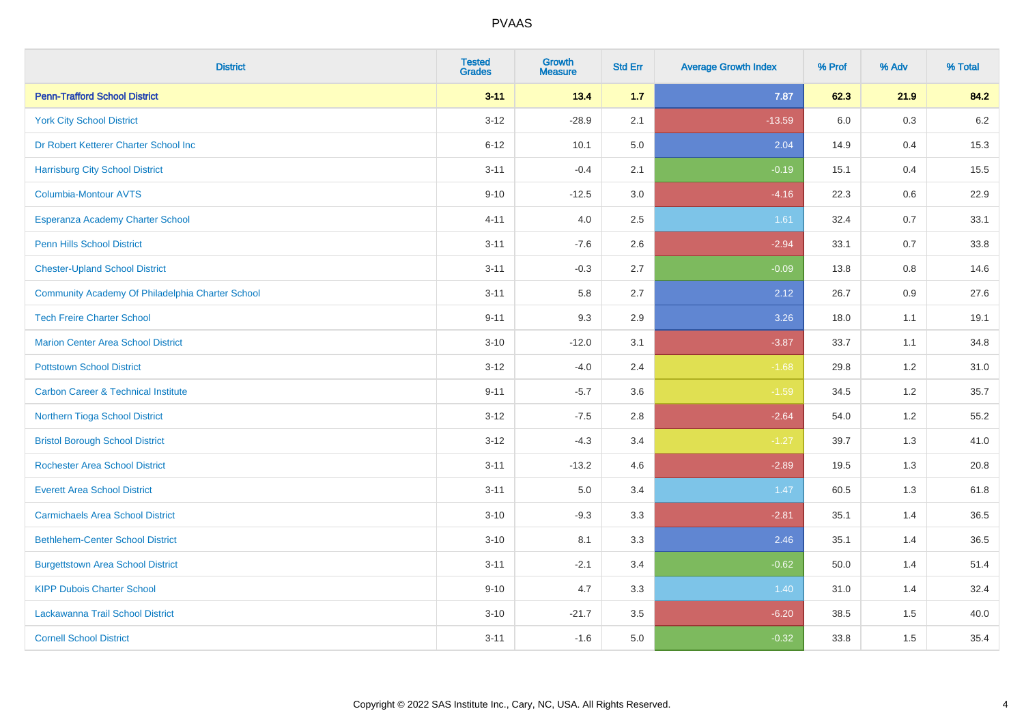| <b>District</b>                                  | <b>Tested</b><br><b>Grades</b> | <b>Growth</b><br><b>Measure</b> | <b>Std Err</b> | <b>Average Growth Index</b> | % Prof | % Adv | % Total |
|--------------------------------------------------|--------------------------------|---------------------------------|----------------|-----------------------------|--------|-------|---------|
| <b>Penn-Trafford School District</b>             | $3 - 11$                       | 13.4                            | 1.7            | 7.87                        | 62.3   | 21.9  | 84.2    |
| <b>York City School District</b>                 | $3 - 12$                       | $-28.9$                         | 2.1            | $-13.59$                    | 6.0    | 0.3   | $6.2\,$ |
| Dr Robert Ketterer Charter School Inc            | $6 - 12$                       | 10.1                            | 5.0            | 2.04                        | 14.9   | 0.4   | 15.3    |
| <b>Harrisburg City School District</b>           | $3 - 11$                       | $-0.4$                          | 2.1            | $-0.19$                     | 15.1   | 0.4   | 15.5    |
| Columbia-Montour AVTS                            | $9 - 10$                       | $-12.5$                         | 3.0            | $-4.16$                     | 22.3   | 0.6   | 22.9    |
| Esperanza Academy Charter School                 | $4 - 11$                       | 4.0                             | 2.5            | 1.61                        | 32.4   | 0.7   | 33.1    |
| <b>Penn Hills School District</b>                | $3 - 11$                       | $-7.6$                          | 2.6            | $-2.94$                     | 33.1   | 0.7   | 33.8    |
| <b>Chester-Upland School District</b>            | $3 - 11$                       | $-0.3$                          | 2.7            | $-0.09$                     | 13.8   | 0.8   | 14.6    |
| Community Academy Of Philadelphia Charter School | $3 - 11$                       | 5.8                             | 2.7            | 2.12                        | 26.7   | 0.9   | 27.6    |
| <b>Tech Freire Charter School</b>                | $9 - 11$                       | 9.3                             | 2.9            | 3.26                        | 18.0   | 1.1   | 19.1    |
| <b>Marion Center Area School District</b>        | $3 - 10$                       | $-12.0$                         | 3.1            | $-3.87$                     | 33.7   | 1.1   | 34.8    |
| <b>Pottstown School District</b>                 | $3 - 12$                       | $-4.0$                          | 2.4            | $-1.68$                     | 29.8   | 1.2   | 31.0    |
| <b>Carbon Career &amp; Technical Institute</b>   | $9 - 11$                       | $-5.7$                          | 3.6            | $-1.59$                     | 34.5   | 1.2   | 35.7    |
| Northern Tioga School District                   | $3 - 12$                       | $-7.5$                          | 2.8            | $-2.64$                     | 54.0   | 1.2   | 55.2    |
| <b>Bristol Borough School District</b>           | $3 - 12$                       | $-4.3$                          | 3.4            | $-1.27$                     | 39.7   | 1.3   | 41.0    |
| <b>Rochester Area School District</b>            | $3 - 11$                       | $-13.2$                         | 4.6            | $-2.89$                     | 19.5   | 1.3   | 20.8    |
| <b>Everett Area School District</b>              | $3 - 11$                       | 5.0                             | 3.4            | 1.47                        | 60.5   | 1.3   | 61.8    |
| <b>Carmichaels Area School District</b>          | $3 - 10$                       | $-9.3$                          | 3.3            | $-2.81$                     | 35.1   | 1.4   | 36.5    |
| <b>Bethlehem-Center School District</b>          | $3 - 10$                       | 8.1                             | 3.3            | 2.46                        | 35.1   | 1.4   | 36.5    |
| <b>Burgettstown Area School District</b>         | $3 - 11$                       | $-2.1$                          | 3.4            | $-0.62$                     | 50.0   | 1.4   | 51.4    |
| <b>KIPP Dubois Charter School</b>                | $9 - 10$                       | 4.7                             | 3.3            | 1.40                        | 31.0   | 1.4   | 32.4    |
| Lackawanna Trail School District                 | $3 - 10$                       | $-21.7$                         | 3.5            | $-6.20$                     | 38.5   | 1.5   | 40.0    |
| <b>Cornell School District</b>                   | $3 - 11$                       | $-1.6$                          | 5.0            | $-0.32$                     | 33.8   | 1.5   | 35.4    |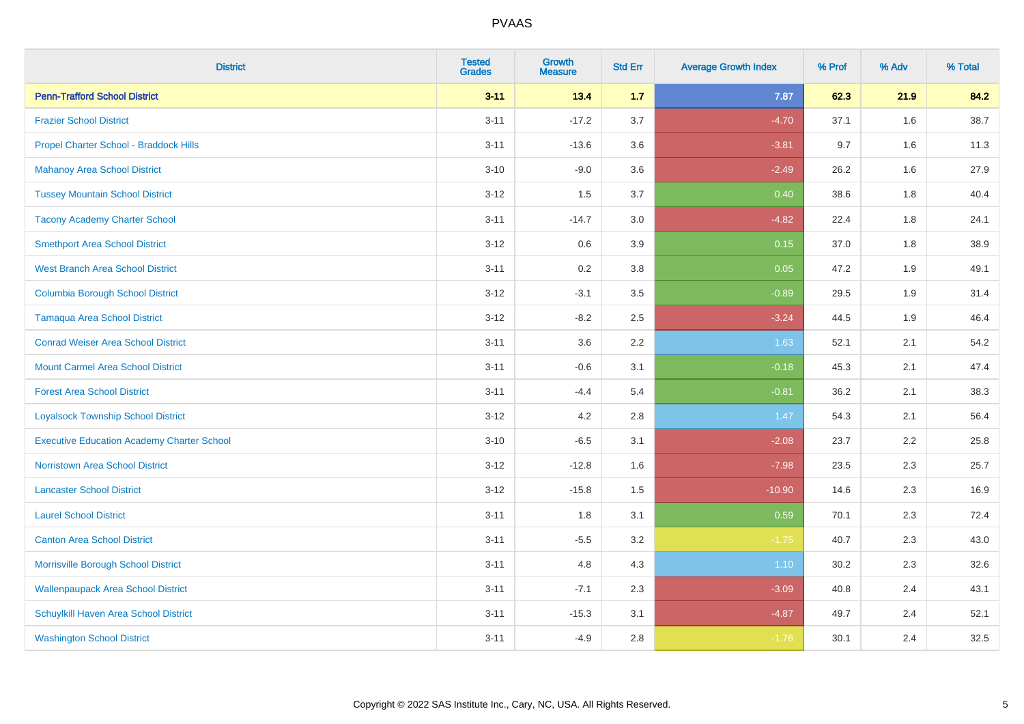| <b>District</b>                                   | <b>Tested</b><br><b>Grades</b> | Growth<br><b>Measure</b> | <b>Std Err</b> | <b>Average Growth Index</b> | % Prof | % Adv | % Total |
|---------------------------------------------------|--------------------------------|--------------------------|----------------|-----------------------------|--------|-------|---------|
| <b>Penn-Trafford School District</b>              | $3 - 11$                       | 13.4                     | 1.7            | 7.87                        | 62.3   | 21.9  | 84.2    |
| <b>Frazier School District</b>                    | $3 - 11$                       | $-17.2$                  | 3.7            | $-4.70$                     | 37.1   | 1.6   | 38.7    |
| Propel Charter School - Braddock Hills            | $3 - 11$                       | $-13.6$                  | 3.6            | $-3.81$                     | 9.7    | 1.6   | 11.3    |
| <b>Mahanoy Area School District</b>               | $3 - 10$                       | $-9.0$                   | 3.6            | $-2.49$                     | 26.2   | 1.6   | 27.9    |
| <b>Tussey Mountain School District</b>            | $3 - 12$                       | 1.5                      | 3.7            | 0.40                        | 38.6   | 1.8   | 40.4    |
| <b>Tacony Academy Charter School</b>              | $3 - 11$                       | $-14.7$                  | 3.0            | $-4.82$                     | 22.4   | 1.8   | 24.1    |
| <b>Smethport Area School District</b>             | $3 - 12$                       | 0.6                      | 3.9            | 0.15                        | 37.0   | 1.8   | 38.9    |
| <b>West Branch Area School District</b>           | $3 - 11$                       | 0.2                      | 3.8            | 0.05                        | 47.2   | 1.9   | 49.1    |
| <b>Columbia Borough School District</b>           | $3 - 12$                       | $-3.1$                   | 3.5            | $-0.89$                     | 29.5   | 1.9   | 31.4    |
| <b>Tamaqua Area School District</b>               | $3 - 12$                       | $-8.2$                   | 2.5            | $-3.24$                     | 44.5   | 1.9   | 46.4    |
| <b>Conrad Weiser Area School District</b>         | $3 - 11$                       | 3.6                      | 2.2            | 1.63                        | 52.1   | 2.1   | 54.2    |
| <b>Mount Carmel Area School District</b>          | $3 - 11$                       | $-0.6$                   | 3.1            | $-0.18$                     | 45.3   | 2.1   | 47.4    |
| <b>Forest Area School District</b>                | $3 - 11$                       | $-4.4$                   | 5.4            | $-0.81$                     | 36.2   | 2.1   | 38.3    |
| <b>Loyalsock Township School District</b>         | $3 - 12$                       | 4.2                      | 2.8            | 1.47                        | 54.3   | 2.1   | 56.4    |
| <b>Executive Education Academy Charter School</b> | $3 - 10$                       | $-6.5$                   | 3.1            | $-2.08$                     | 23.7   | 2.2   | 25.8    |
| <b>Norristown Area School District</b>            | $3 - 12$                       | $-12.8$                  | 1.6            | $-7.98$                     | 23.5   | 2.3   | 25.7    |
| <b>Lancaster School District</b>                  | $3 - 12$                       | $-15.8$                  | 1.5            | $-10.90$                    | 14.6   | 2.3   | 16.9    |
| <b>Laurel School District</b>                     | $3 - 11$                       | 1.8                      | 3.1            | 0.59                        | 70.1   | 2.3   | 72.4    |
| <b>Canton Area School District</b>                | $3 - 11$                       | $-5.5$                   | 3.2            | $-1.75$                     | 40.7   | 2.3   | 43.0    |
| Morrisville Borough School District               | $3 - 11$                       | 4.8                      | 4.3            | 1.10                        | 30.2   | 2.3   | 32.6    |
| <b>Wallenpaupack Area School District</b>         | $3 - 11$                       | $-7.1$                   | 2.3            | $-3.09$                     | 40.8   | 2.4   | 43.1    |
| Schuylkill Haven Area School District             | $3 - 11$                       | $-15.3$                  | 3.1            | $-4.87$                     | 49.7   | 2.4   | 52.1    |
| <b>Washington School District</b>                 | $3 - 11$                       | $-4.9$                   | 2.8            | $-1.76$                     | 30.1   | 2.4   | 32.5    |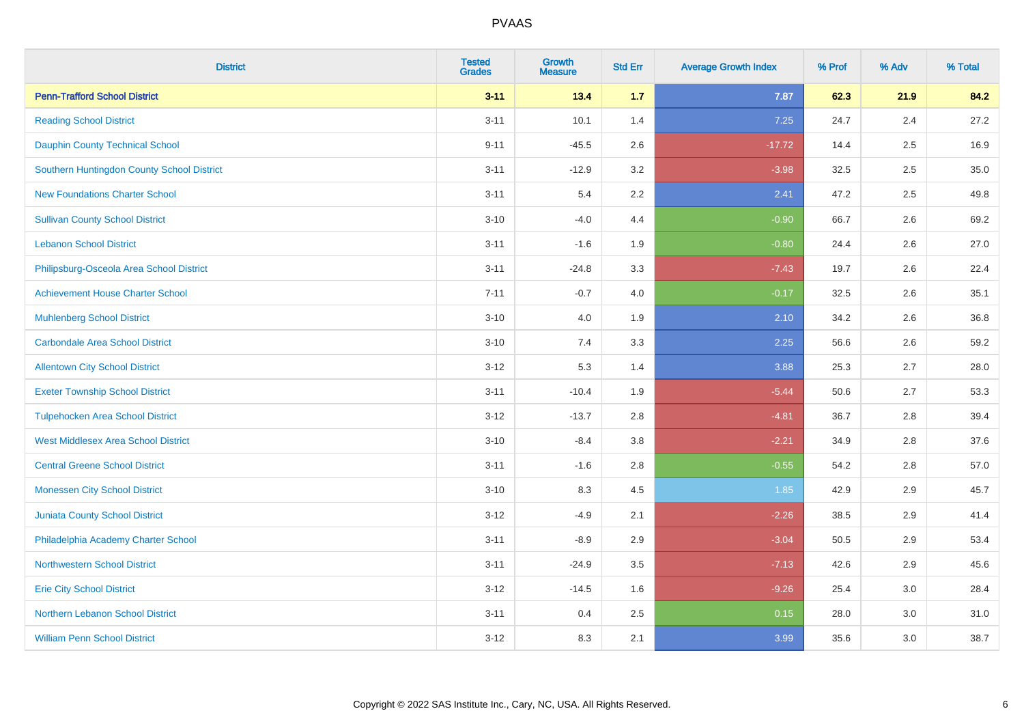| <b>District</b>                            | <b>Tested</b><br><b>Grades</b> | <b>Growth</b><br><b>Measure</b> | <b>Std Err</b> | <b>Average Growth Index</b> | % Prof | % Adv | % Total |
|--------------------------------------------|--------------------------------|---------------------------------|----------------|-----------------------------|--------|-------|---------|
| <b>Penn-Trafford School District</b>       | $3 - 11$                       | 13.4                            | 1.7            | 7.87                        | 62.3   | 21.9  | 84.2    |
| <b>Reading School District</b>             | $3 - 11$                       | 10.1                            | 1.4            | 7.25                        | 24.7   | 2.4   | 27.2    |
| <b>Dauphin County Technical School</b>     | $9 - 11$                       | $-45.5$                         | 2.6            | $-17.72$                    | 14.4   | 2.5   | 16.9    |
| Southern Huntingdon County School District | $3 - 11$                       | $-12.9$                         | 3.2            | $-3.98$                     | 32.5   | 2.5   | 35.0    |
| <b>New Foundations Charter School</b>      | $3 - 11$                       | 5.4                             | 2.2            | 2.41                        | 47.2   | 2.5   | 49.8    |
| <b>Sullivan County School District</b>     | $3 - 10$                       | $-4.0$                          | 4.4            | $-0.90$                     | 66.7   | 2.6   | 69.2    |
| <b>Lebanon School District</b>             | $3 - 11$                       | $-1.6$                          | 1.9            | $-0.80$                     | 24.4   | 2.6   | 27.0    |
| Philipsburg-Osceola Area School District   | $3 - 11$                       | $-24.8$                         | 3.3            | $-7.43$                     | 19.7   | 2.6   | 22.4    |
| <b>Achievement House Charter School</b>    | $7 - 11$                       | $-0.7$                          | 4.0            | $-0.17$                     | 32.5   | 2.6   | 35.1    |
| <b>Muhlenberg School District</b>          | $3 - 10$                       | 4.0                             | 1.9            | 2.10                        | 34.2   | 2.6   | 36.8    |
| <b>Carbondale Area School District</b>     | $3 - 10$                       | 7.4                             | 3.3            | 2.25                        | 56.6   | 2.6   | 59.2    |
| <b>Allentown City School District</b>      | $3 - 12$                       | 5.3                             | 1.4            | 3.88                        | 25.3   | 2.7   | 28.0    |
| <b>Exeter Township School District</b>     | $3 - 11$                       | $-10.4$                         | 1.9            | $-5.44$                     | 50.6   | 2.7   | 53.3    |
| <b>Tulpehocken Area School District</b>    | $3 - 12$                       | $-13.7$                         | 2.8            | $-4.81$                     | 36.7   | 2.8   | 39.4    |
| <b>West Middlesex Area School District</b> | $3 - 10$                       | $-8.4$                          | $3.8\,$        | $-2.21$                     | 34.9   | 2.8   | 37.6    |
| <b>Central Greene School District</b>      | $3 - 11$                       | $-1.6$                          | 2.8            | $-0.55$                     | 54.2   | 2.8   | 57.0    |
| <b>Monessen City School District</b>       | $3 - 10$                       | 8.3                             | 4.5            | 1.85                        | 42.9   | 2.9   | 45.7    |
| Juniata County School District             | $3 - 12$                       | $-4.9$                          | 2.1            | $-2.26$                     | 38.5   | 2.9   | 41.4    |
| Philadelphia Academy Charter School        | $3 - 11$                       | $-8.9$                          | 2.9            | $-3.04$                     | 50.5   | 2.9   | 53.4    |
| <b>Northwestern School District</b>        | $3 - 11$                       | $-24.9$                         | 3.5            | $-7.13$                     | 42.6   | 2.9   | 45.6    |
| <b>Erie City School District</b>           | $3 - 12$                       | $-14.5$                         | 1.6            | $-9.26$                     | 25.4   | 3.0   | 28.4    |
| Northern Lebanon School District           | $3 - 11$                       | 0.4                             | 2.5            | 0.15                        | 28.0   | 3.0   | 31.0    |
| <b>William Penn School District</b>        | $3 - 12$                       | 8.3                             | 2.1            | 3.99                        | 35.6   | 3.0   | 38.7    |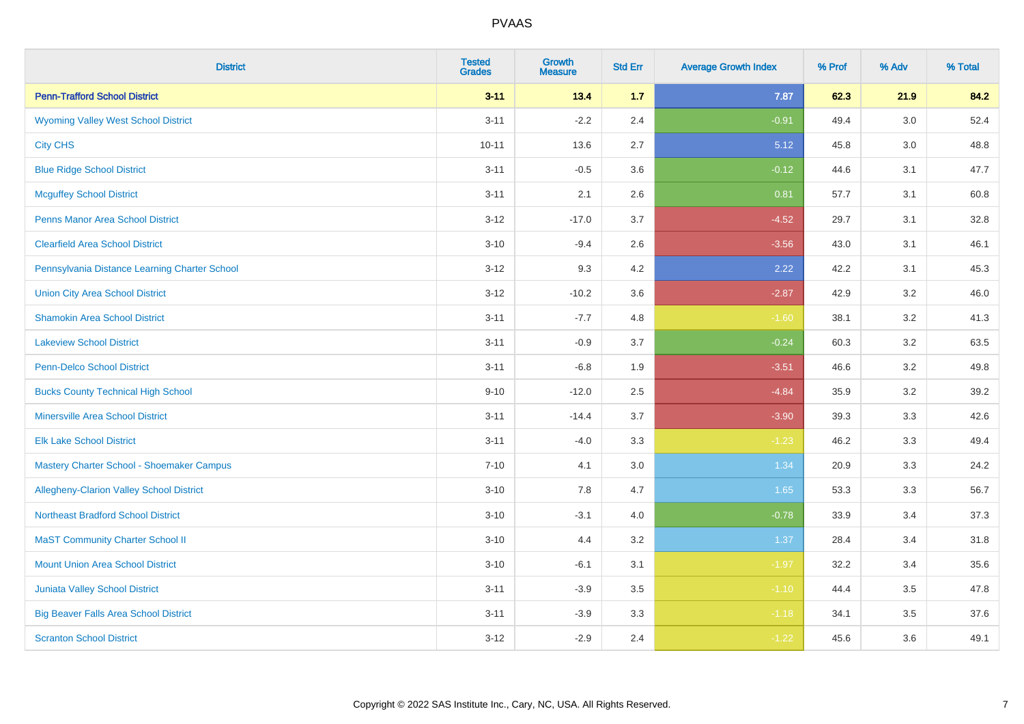| <b>District</b>                                 | <b>Tested</b><br><b>Grades</b> | Growth<br><b>Measure</b> | <b>Std Err</b> | <b>Average Growth Index</b> | % Prof | % Adv   | % Total |
|-------------------------------------------------|--------------------------------|--------------------------|----------------|-----------------------------|--------|---------|---------|
| <b>Penn-Trafford School District</b>            | $3 - 11$                       | 13.4                     | 1.7            | 7.87                        | 62.3   | 21.9    | 84.2    |
| <b>Wyoming Valley West School District</b>      | $3 - 11$                       | $-2.2$                   | 2.4            | $-0.91$                     | 49.4   | 3.0     | 52.4    |
| <b>City CHS</b>                                 | $10 - 11$                      | 13.6                     | 2.7            | 5.12                        | 45.8   | 3.0     | 48.8    |
| <b>Blue Ridge School District</b>               | $3 - 11$                       | $-0.5$                   | 3.6            | $-0.12$                     | 44.6   | 3.1     | 47.7    |
| <b>Mcguffey School District</b>                 | $3 - 11$                       | 2.1                      | 2.6            | 0.81                        | 57.7   | 3.1     | 60.8    |
| <b>Penns Manor Area School District</b>         | $3 - 12$                       | $-17.0$                  | 3.7            | $-4.52$                     | 29.7   | 3.1     | 32.8    |
| <b>Clearfield Area School District</b>          | $3 - 10$                       | $-9.4$                   | 2.6            | $-3.56$                     | 43.0   | 3.1     | 46.1    |
| Pennsylvania Distance Learning Charter School   | $3 - 12$                       | 9.3                      | 4.2            | 2.22                        | 42.2   | 3.1     | 45.3    |
| <b>Union City Area School District</b>          | $3 - 12$                       | $-10.2$                  | 3.6            | $-2.87$                     | 42.9   | 3.2     | 46.0    |
| <b>Shamokin Area School District</b>            | $3 - 11$                       | $-7.7$                   | 4.8            | $-1.60$                     | 38.1   | 3.2     | 41.3    |
| <b>Lakeview School District</b>                 | $3 - 11$                       | $-0.9$                   | 3.7            | $-0.24$                     | 60.3   | 3.2     | 63.5    |
| <b>Penn-Delco School District</b>               | $3 - 11$                       | $-6.8$                   | 1.9            | $-3.51$                     | 46.6   | 3.2     | 49.8    |
| <b>Bucks County Technical High School</b>       | $9 - 10$                       | $-12.0$                  | 2.5            | $-4.84$                     | 35.9   | $3.2\,$ | 39.2    |
| Minersville Area School District                | $3 - 11$                       | $-14.4$                  | 3.7            | $-3.90$                     | 39.3   | 3.3     | 42.6    |
| <b>Elk Lake School District</b>                 | $3 - 11$                       | $-4.0$                   | 3.3            | $-1.23$                     | 46.2   | 3.3     | 49.4    |
| Mastery Charter School - Shoemaker Campus       | $7 - 10$                       | 4.1                      | 3.0            | 1.34                        | 20.9   | 3.3     | 24.2    |
| <b>Allegheny-Clarion Valley School District</b> | $3 - 10$                       | 7.8                      | 4.7            | 1.65                        | 53.3   | 3.3     | 56.7    |
| <b>Northeast Bradford School District</b>       | $3 - 10$                       | $-3.1$                   | 4.0            | $-0.78$                     | 33.9   | 3.4     | 37.3    |
| <b>MaST Community Charter School II</b>         | $3 - 10$                       | 4.4                      | 3.2            | 1.37                        | 28.4   | 3.4     | 31.8    |
| <b>Mount Union Area School District</b>         | $3 - 10$                       | $-6.1$                   | 3.1            | $-1.97$                     | 32.2   | 3.4     | 35.6    |
| <b>Juniata Valley School District</b>           | $3 - 11$                       | $-3.9$                   | 3.5            | $-1.10$                     | 44.4   | 3.5     | 47.8    |
| <b>Big Beaver Falls Area School District</b>    | $3 - 11$                       | $-3.9$                   | 3.3            | $-1.18$                     | 34.1   | 3.5     | 37.6    |
| <b>Scranton School District</b>                 | $3 - 12$                       | $-2.9$                   | 2.4            | $-1.22$                     | 45.6   | 3.6     | 49.1    |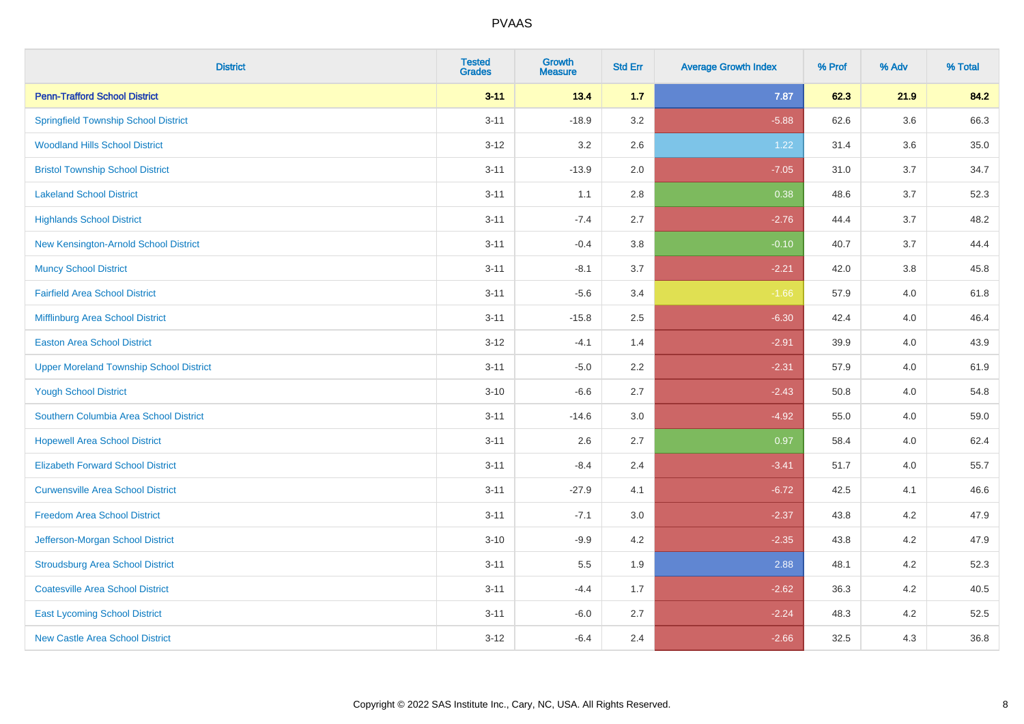| <b>District</b>                                | <b>Tested</b><br><b>Grades</b> | <b>Growth</b><br><b>Measure</b> | <b>Std Err</b> | <b>Average Growth Index</b> | % Prof | % Adv   | % Total |
|------------------------------------------------|--------------------------------|---------------------------------|----------------|-----------------------------|--------|---------|---------|
| <b>Penn-Trafford School District</b>           | $3 - 11$                       | 13.4                            | 1.7            | 7.87                        | 62.3   | 21.9    | 84.2    |
| <b>Springfield Township School District</b>    | $3 - 11$                       | $-18.9$                         | 3.2            | $-5.88$                     | 62.6   | $3.6\,$ | 66.3    |
| <b>Woodland Hills School District</b>          | $3 - 12$                       | 3.2                             | 2.6            | 1.22                        | 31.4   | 3.6     | 35.0    |
| <b>Bristol Township School District</b>        | $3 - 11$                       | $-13.9$                         | 2.0            | $-7.05$                     | 31.0   | 3.7     | 34.7    |
| <b>Lakeland School District</b>                | $3 - 11$                       | 1.1                             | 2.8            | 0.38                        | 48.6   | 3.7     | 52.3    |
| <b>Highlands School District</b>               | $3 - 11$                       | $-7.4$                          | 2.7            | $-2.76$                     | 44.4   | 3.7     | 48.2    |
| New Kensington-Arnold School District          | $3 - 11$                       | $-0.4$                          | 3.8            | $-0.10$                     | 40.7   | 3.7     | 44.4    |
| <b>Muncy School District</b>                   | $3 - 11$                       | $-8.1$                          | 3.7            | $-2.21$                     | 42.0   | 3.8     | 45.8    |
| <b>Fairfield Area School District</b>          | $3 - 11$                       | $-5.6$                          | 3.4            | $-1.66$                     | 57.9   | 4.0     | 61.8    |
| Mifflinburg Area School District               | $3 - 11$                       | $-15.8$                         | 2.5            | $-6.30$                     | 42.4   | 4.0     | 46.4    |
| <b>Easton Area School District</b>             | $3 - 12$                       | $-4.1$                          | 1.4            | $-2.91$                     | 39.9   | 4.0     | 43.9    |
| <b>Upper Moreland Township School District</b> | $3 - 11$                       | $-5.0$                          | 2.2            | $-2.31$                     | 57.9   | 4.0     | 61.9    |
| <b>Yough School District</b>                   | $3 - 10$                       | $-6.6$                          | 2.7            | $-2.43$                     | 50.8   | 4.0     | 54.8    |
| Southern Columbia Area School District         | $3 - 11$                       | $-14.6$                         | 3.0            | $-4.92$                     | 55.0   | 4.0     | 59.0    |
| <b>Hopewell Area School District</b>           | $3 - 11$                       | 2.6                             | 2.7            | 0.97                        | 58.4   | 4.0     | 62.4    |
| <b>Elizabeth Forward School District</b>       | $3 - 11$                       | $-8.4$                          | 2.4            | $-3.41$                     | 51.7   | 4.0     | 55.7    |
| <b>Curwensville Area School District</b>       | $3 - 11$                       | $-27.9$                         | 4.1            | $-6.72$                     | 42.5   | 4.1     | 46.6    |
| <b>Freedom Area School District</b>            | $3 - 11$                       | $-7.1$                          | 3.0            | $-2.37$                     | 43.8   | 4.2     | 47.9    |
| Jefferson-Morgan School District               | $3 - 10$                       | $-9.9$                          | 4.2            | $-2.35$                     | 43.8   | 4.2     | 47.9    |
| <b>Stroudsburg Area School District</b>        | $3 - 11$                       | $5.5\,$                         | 1.9            | 2.88                        | 48.1   | 4.2     | 52.3    |
| <b>Coatesville Area School District</b>        | $3 - 11$                       | $-4.4$                          | 1.7            | $-2.62$                     | 36.3   | 4.2     | 40.5    |
| <b>East Lycoming School District</b>           | $3 - 11$                       | $-6.0$                          | 2.7            | $-2.24$                     | 48.3   | 4.2     | 52.5    |
| <b>New Castle Area School District</b>         | $3 - 12$                       | $-6.4$                          | 2.4            | $-2.66$                     | 32.5   | 4.3     | 36.8    |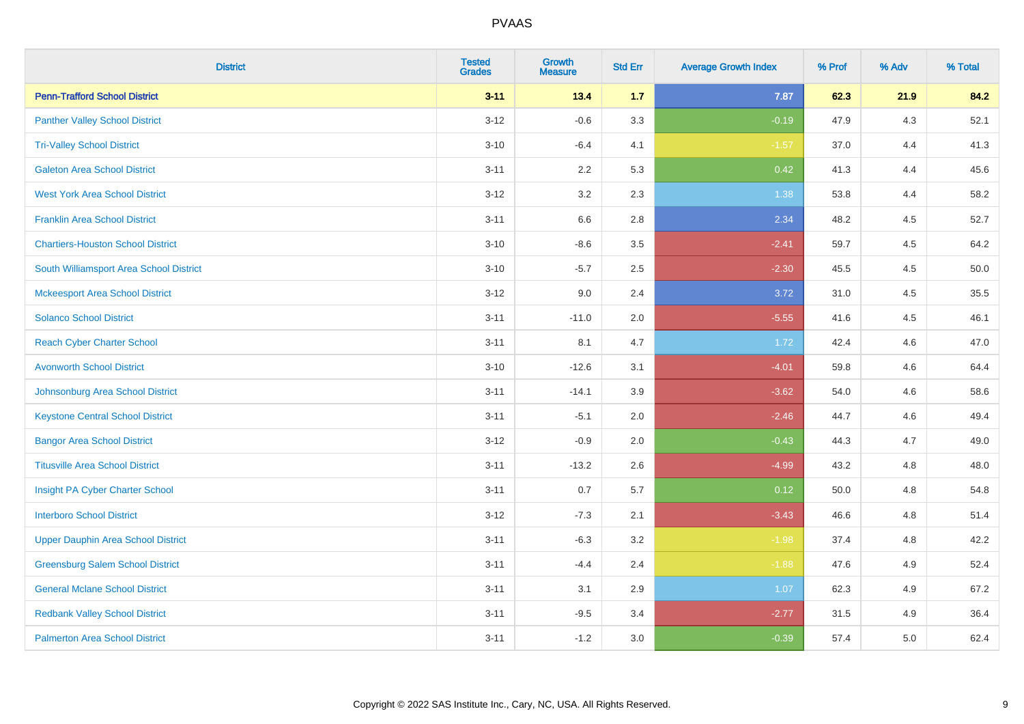| <b>District</b>                           | <b>Tested</b><br><b>Grades</b> | Growth<br><b>Measure</b> | <b>Std Err</b> | <b>Average Growth Index</b> | % Prof | % Adv | % Total |
|-------------------------------------------|--------------------------------|--------------------------|----------------|-----------------------------|--------|-------|---------|
| <b>Penn-Trafford School District</b>      | $3 - 11$                       | 13.4                     | 1.7            | 7.87                        | 62.3   | 21.9  | 84.2    |
| <b>Panther Valley School District</b>     | $3 - 12$                       | $-0.6$                   | 3.3            | $-0.19$                     | 47.9   | $4.3$ | 52.1    |
| <b>Tri-Valley School District</b>         | $3 - 10$                       | $-6.4$                   | 4.1            | $-1.57$                     | 37.0   | 4.4   | 41.3    |
| <b>Galeton Area School District</b>       | $3 - 11$                       | 2.2                      | 5.3            | 0.42                        | 41.3   | 4.4   | 45.6    |
| <b>West York Area School District</b>     | $3 - 12$                       | 3.2                      | 2.3            | 1.38                        | 53.8   | 4.4   | 58.2    |
| <b>Franklin Area School District</b>      | $3 - 11$                       | 6.6                      | 2.8            | 2.34                        | 48.2   | 4.5   | 52.7    |
| <b>Chartiers-Houston School District</b>  | $3 - 10$                       | $-8.6$                   | 3.5            | $-2.41$                     | 59.7   | 4.5   | 64.2    |
| South Williamsport Area School District   | $3 - 10$                       | $-5.7$                   | 2.5            | $-2.30$                     | 45.5   | 4.5   | 50.0    |
| <b>Mckeesport Area School District</b>    | $3 - 12$                       | 9.0                      | 2.4            | 3.72                        | 31.0   | 4.5   | 35.5    |
| <b>Solanco School District</b>            | $3 - 11$                       | $-11.0$                  | 2.0            | $-5.55$                     | 41.6   | 4.5   | 46.1    |
| <b>Reach Cyber Charter School</b>         | $3 - 11$                       | 8.1                      | 4.7            | 1.72                        | 42.4   | 4.6   | 47.0    |
| <b>Avonworth School District</b>          | $3 - 10$                       | $-12.6$                  | 3.1            | $-4.01$                     | 59.8   | 4.6   | 64.4    |
| Johnsonburg Area School District          | $3 - 11$                       | $-14.1$                  | 3.9            | $-3.62$                     | 54.0   | 4.6   | 58.6    |
| <b>Keystone Central School District</b>   | $3 - 11$                       | $-5.1$                   | 2.0            | $-2.46$                     | 44.7   | 4.6   | 49.4    |
| <b>Bangor Area School District</b>        | $3 - 12$                       | $-0.9$                   | 2.0            | $-0.43$                     | 44.3   | 4.7   | 49.0    |
| <b>Titusville Area School District</b>    | $3 - 11$                       | $-13.2$                  | 2.6            | $-4.99$                     | 43.2   | 4.8   | 48.0    |
| Insight PA Cyber Charter School           | $3 - 11$                       | 0.7                      | 5.7            | 0.12                        | 50.0   | 4.8   | 54.8    |
| <b>Interboro School District</b>          | $3 - 12$                       | $-7.3$                   | 2.1            | $-3.43$                     | 46.6   | 4.8   | 51.4    |
| <b>Upper Dauphin Area School District</b> | $3 - 11$                       | $-6.3$                   | 3.2            | $-1.98$                     | 37.4   | 4.8   | 42.2    |
| <b>Greensburg Salem School District</b>   | $3 - 11$                       | $-4.4$                   | 2.4            | $-1.88$                     | 47.6   | 4.9   | 52.4    |
| <b>General Mclane School District</b>     | $3 - 11$                       | 3.1                      | 2.9            | 1.07                        | 62.3   | 4.9   | 67.2    |
| <b>Redbank Valley School District</b>     | $3 - 11$                       | $-9.5$                   | 3.4            | $-2.77$                     | 31.5   | 4.9   | 36.4    |
| <b>Palmerton Area School District</b>     | $3 - 11$                       | $-1.2$                   | 3.0            | $-0.39$                     | 57.4   | 5.0   | 62.4    |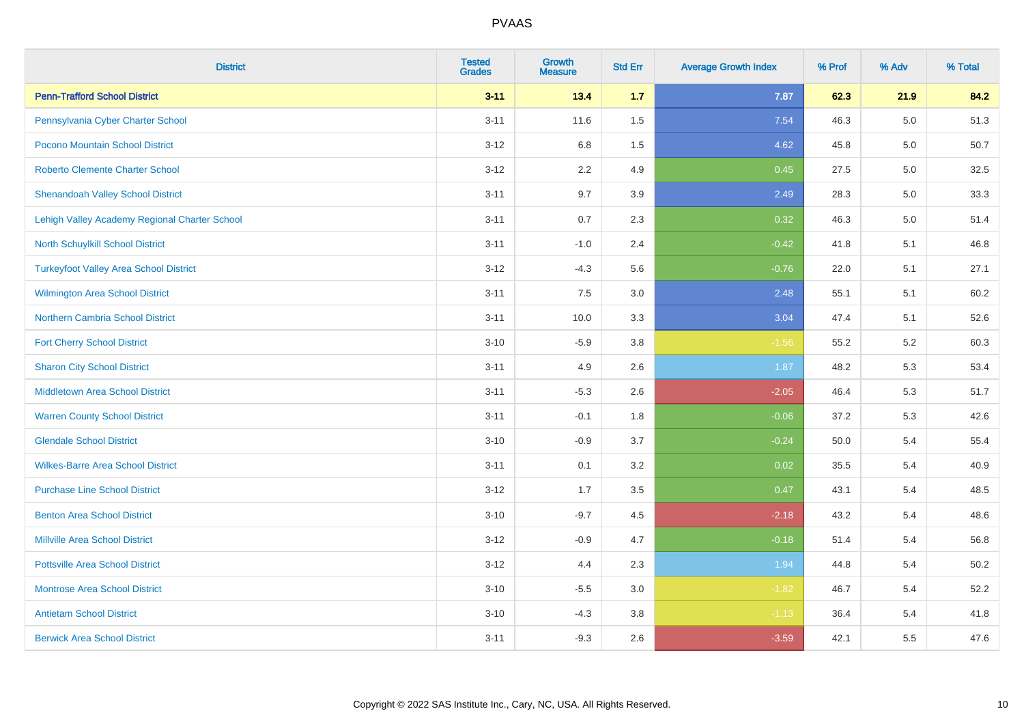| <b>District</b>                               | <b>Tested</b><br><b>Grades</b> | <b>Growth</b><br><b>Measure</b> | <b>Std Err</b> | <b>Average Growth Index</b> | % Prof | % Adv | % Total |
|-----------------------------------------------|--------------------------------|---------------------------------|----------------|-----------------------------|--------|-------|---------|
| <b>Penn-Trafford School District</b>          | $3 - 11$                       | 13.4                            | 1.7            | 7.87                        | 62.3   | 21.9  | 84.2    |
| Pennsylvania Cyber Charter School             | $3 - 11$                       | 11.6                            | 1.5            | 7.54                        | 46.3   | 5.0   | 51.3    |
| Pocono Mountain School District               | $3 - 12$                       | 6.8                             | 1.5            | 4.62                        | 45.8   | 5.0   | 50.7    |
| <b>Roberto Clemente Charter School</b>        | $3 - 12$                       | 2.2                             | 4.9            | 0.45                        | 27.5   | 5.0   | 32.5    |
| <b>Shenandoah Valley School District</b>      | $3 - 11$                       | 9.7                             | 3.9            | 2.49                        | 28.3   | 5.0   | 33.3    |
| Lehigh Valley Academy Regional Charter School | $3 - 11$                       | 0.7                             | 2.3            | 0.32                        | 46.3   | 5.0   | 51.4    |
| North Schuylkill School District              | $3 - 11$                       | $-1.0$                          | 2.4            | $-0.42$                     | 41.8   | 5.1   | 46.8    |
| <b>Turkeyfoot Valley Area School District</b> | $3 - 12$                       | $-4.3$                          | 5.6            | $-0.76$                     | 22.0   | 5.1   | 27.1    |
| <b>Wilmington Area School District</b>        | $3 - 11$                       | 7.5                             | 3.0            | 2.48                        | 55.1   | 5.1   | 60.2    |
| <b>Northern Cambria School District</b>       | $3 - 11$                       | 10.0                            | 3.3            | 3.04                        | 47.4   | 5.1   | 52.6    |
| <b>Fort Cherry School District</b>            | $3 - 10$                       | $-5.9$                          | 3.8            | $-1.56$                     | 55.2   | 5.2   | 60.3    |
| <b>Sharon City School District</b>            | $3 - 11$                       | 4.9                             | 2.6            | 1.87                        | 48.2   | 5.3   | 53.4    |
| <b>Middletown Area School District</b>        | $3 - 11$                       | $-5.3$                          | 2.6            | $-2.05$                     | 46.4   | 5.3   | 51.7    |
| <b>Warren County School District</b>          | $3 - 11$                       | $-0.1$                          | 1.8            | $-0.06$                     | 37.2   | 5.3   | 42.6    |
| <b>Glendale School District</b>               | $3 - 10$                       | $-0.9$                          | 3.7            | $-0.24$                     | 50.0   | 5.4   | 55.4    |
| <b>Wilkes-Barre Area School District</b>      | $3 - 11$                       | 0.1                             | 3.2            | 0.02                        | 35.5   | 5.4   | 40.9    |
| <b>Purchase Line School District</b>          | $3 - 12$                       | 1.7                             | 3.5            | 0.47                        | 43.1   | 5.4   | 48.5    |
| <b>Benton Area School District</b>            | $3 - 10$                       | $-9.7$                          | 4.5            | $-2.18$                     | 43.2   | 5.4   | 48.6    |
| <b>Millville Area School District</b>         | $3-12$                         | $-0.9$                          | 4.7            | $-0.18$                     | 51.4   | 5.4   | 56.8    |
| <b>Pottsville Area School District</b>        | $3 - 12$                       | 4.4                             | 2.3            | 1.94                        | 44.8   | 5.4   | 50.2    |
| <b>Montrose Area School District</b>          | $3 - 10$                       | $-5.5$                          | 3.0            | $-1.82$                     | 46.7   | 5.4   | 52.2    |
| <b>Antietam School District</b>               | $3 - 10$                       | $-4.3$                          | 3.8            | $-1.13$                     | 36.4   | 5.4   | 41.8    |
| <b>Berwick Area School District</b>           | $3 - 11$                       | $-9.3$                          | 2.6            | $-3.59$                     | 42.1   | 5.5   | 47.6    |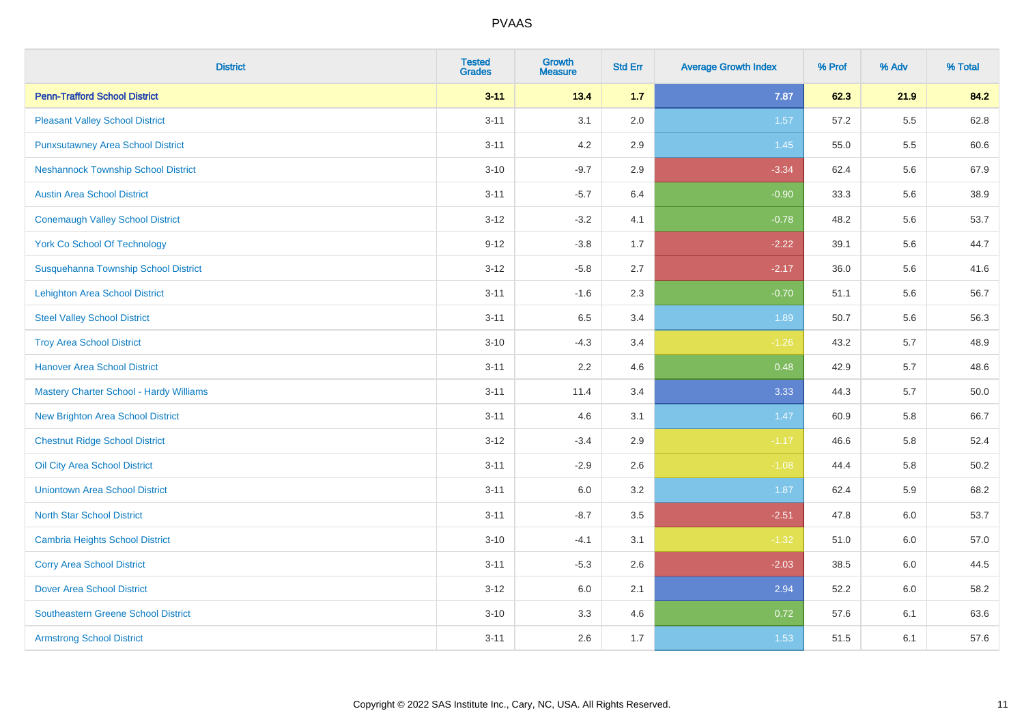| <b>District</b>                            | <b>Tested</b><br><b>Grades</b> | <b>Growth</b><br><b>Measure</b> | <b>Std Err</b> | <b>Average Growth Index</b> | % Prof | % Adv | % Total |
|--------------------------------------------|--------------------------------|---------------------------------|----------------|-----------------------------|--------|-------|---------|
| <b>Penn-Trafford School District</b>       | $3 - 11$                       | 13.4                            | $1.7$          | 7.87                        | 62.3   | 21.9  | 84.2    |
| <b>Pleasant Valley School District</b>     | $3 - 11$                       | 3.1                             | 2.0            | 1.57                        | 57.2   | 5.5   | 62.8    |
| <b>Punxsutawney Area School District</b>   | $3 - 11$                       | 4.2                             | 2.9            | 1.45                        | 55.0   | 5.5   | 60.6    |
| <b>Neshannock Township School District</b> | $3 - 10$                       | $-9.7$                          | 2.9            | $-3.34$                     | 62.4   | 5.6   | 67.9    |
| <b>Austin Area School District</b>         | $3 - 11$                       | $-5.7$                          | 6.4            | $-0.90$                     | 33.3   | 5.6   | 38.9    |
| <b>Conemaugh Valley School District</b>    | $3-12$                         | $-3.2$                          | 4.1            | $-0.78$                     | 48.2   | 5.6   | 53.7    |
| <b>York Co School Of Technology</b>        | $9 - 12$                       | $-3.8$                          | 1.7            | $-2.22$                     | 39.1   | 5.6   | 44.7    |
| Susquehanna Township School District       | $3 - 12$                       | $-5.8$                          | 2.7            | $-2.17$                     | 36.0   | 5.6   | 41.6    |
| <b>Lehighton Area School District</b>      | $3 - 11$                       | $-1.6$                          | 2.3            | $-0.70$                     | 51.1   | 5.6   | 56.7    |
| <b>Steel Valley School District</b>        | $3 - 11$                       | 6.5                             | 3.4            | 1.89                        | 50.7   | 5.6   | 56.3    |
| <b>Troy Area School District</b>           | $3 - 10$                       | $-4.3$                          | 3.4            | $-1.26$                     | 43.2   | 5.7   | 48.9    |
| <b>Hanover Area School District</b>        | $3 - 11$                       | 2.2                             | 4.6            | 0.48                        | 42.9   | 5.7   | 48.6    |
| Mastery Charter School - Hardy Williams    | $3 - 11$                       | 11.4                            | 3.4            | 3.33                        | 44.3   | 5.7   | 50.0    |
| <b>New Brighton Area School District</b>   | $3 - 11$                       | 4.6                             | 3.1            | 1.47                        | 60.9   | 5.8   | 66.7    |
| <b>Chestnut Ridge School District</b>      | $3-12$                         | $-3.4$                          | 2.9            | $-1.17$                     | 46.6   | 5.8   | 52.4    |
| Oil City Area School District              | $3 - 11$                       | $-2.9$                          | 2.6            | $-1.08$                     | 44.4   | 5.8   | 50.2    |
| <b>Uniontown Area School District</b>      | $3 - 11$                       | 6.0                             | 3.2            | 1.87                        | 62.4   | 5.9   | 68.2    |
| <b>North Star School District</b>          | $3 - 11$                       | $-8.7$                          | 3.5            | $-2.51$                     | 47.8   | 6.0   | 53.7    |
| <b>Cambria Heights School District</b>     | $3 - 10$                       | $-4.1$                          | 3.1            | $-1.32$                     | 51.0   | 6.0   | 57.0    |
| <b>Corry Area School District</b>          | $3 - 11$                       | $-5.3$                          | 2.6            | $-2.03$                     | 38.5   | 6.0   | 44.5    |
| <b>Dover Area School District</b>          | $3 - 12$                       | 6.0                             | 2.1            | 2.94                        | 52.2   | 6.0   | 58.2    |
| <b>Southeastern Greene School District</b> | $3 - 10$                       | 3.3                             | 4.6            | 0.72                        | 57.6   | 6.1   | 63.6    |
| <b>Armstrong School District</b>           | $3 - 11$                       | 2.6                             | 1.7            | 1.53                        | 51.5   | 6.1   | 57.6    |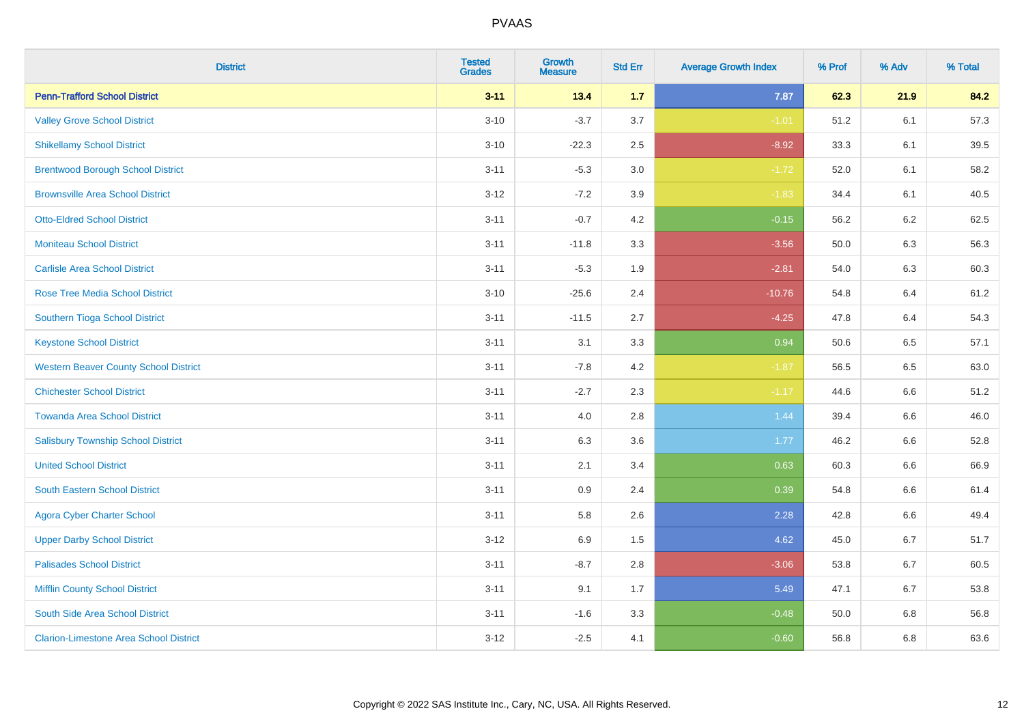| <b>District</b>                               | <b>Tested</b><br><b>Grades</b> | <b>Growth</b><br><b>Measure</b> | <b>Std Err</b> | <b>Average Growth Index</b> | % Prof | % Adv   | % Total |
|-----------------------------------------------|--------------------------------|---------------------------------|----------------|-----------------------------|--------|---------|---------|
| <b>Penn-Trafford School District</b>          | $3 - 11$                       | 13.4                            | 1.7            | 7.87                        | 62.3   | 21.9    | 84.2    |
| <b>Valley Grove School District</b>           | $3 - 10$                       | $-3.7$                          | 3.7            | $-1.01$                     | 51.2   | 6.1     | 57.3    |
| <b>Shikellamy School District</b>             | $3 - 10$                       | $-22.3$                         | 2.5            | $-8.92$                     | 33.3   | 6.1     | 39.5    |
| <b>Brentwood Borough School District</b>      | $3 - 11$                       | $-5.3$                          | $3.0\,$        | $-1.72$                     | 52.0   | 6.1     | 58.2    |
| <b>Brownsville Area School District</b>       | $3 - 12$                       | $-7.2$                          | 3.9            | $-1.83$                     | 34.4   | 6.1     | 40.5    |
| <b>Otto-Eldred School District</b>            | $3 - 11$                       | $-0.7$                          | 4.2            | $-0.15$                     | 56.2   | $6.2\,$ | 62.5    |
| <b>Moniteau School District</b>               | $3 - 11$                       | $-11.8$                         | 3.3            | $-3.56$                     | 50.0   | 6.3     | 56.3    |
| <b>Carlisle Area School District</b>          | $3 - 11$                       | $-5.3$                          | 1.9            | $-2.81$                     | 54.0   | 6.3     | 60.3    |
| <b>Rose Tree Media School District</b>        | $3 - 10$                       | $-25.6$                         | 2.4            | $-10.76$                    | 54.8   | 6.4     | 61.2    |
| <b>Southern Tioga School District</b>         | $3 - 11$                       | $-11.5$                         | 2.7            | $-4.25$                     | 47.8   | 6.4     | 54.3    |
| <b>Keystone School District</b>               | $3 - 11$                       | 3.1                             | 3.3            | 0.94                        | 50.6   | 6.5     | 57.1    |
| <b>Western Beaver County School District</b>  | $3 - 11$                       | $-7.8$                          | 4.2            | $-1.87$                     | 56.5   | 6.5     | 63.0    |
| <b>Chichester School District</b>             | $3 - 11$                       | $-2.7$                          | 2.3            | $-1.17$                     | 44.6   | 6.6     | 51.2    |
| <b>Towanda Area School District</b>           | $3 - 11$                       | 4.0                             | 2.8            | 1.44                        | 39.4   | 6.6     | 46.0    |
| <b>Salisbury Township School District</b>     | $3 - 11$                       | 6.3                             | 3.6            | 1.77                        | 46.2   | 6.6     | 52.8    |
| <b>United School District</b>                 | $3 - 11$                       | 2.1                             | 3.4            | 0.63                        | 60.3   | 6.6     | 66.9    |
| <b>South Eastern School District</b>          | $3 - 11$                       | 0.9                             | 2.4            | 0.39                        | 54.8   | 6.6     | 61.4    |
| <b>Agora Cyber Charter School</b>             | $3 - 11$                       | 5.8                             | 2.6            | 2.28                        | 42.8   | 6.6     | 49.4    |
| <b>Upper Darby School District</b>            | $3 - 12$                       | 6.9                             | 1.5            | 4.62                        | 45.0   | 6.7     | 51.7    |
| <b>Palisades School District</b>              | $3 - 11$                       | $-8.7$                          | 2.8            | $-3.06$                     | 53.8   | $6.7\,$ | 60.5    |
| <b>Mifflin County School District</b>         | $3 - 11$                       | 9.1                             | 1.7            | 5.49                        | 47.1   | 6.7     | 53.8    |
| South Side Area School District               | $3 - 11$                       | $-1.6$                          | 3.3            | $-0.48$                     | 50.0   | 6.8     | 56.8    |
| <b>Clarion-Limestone Area School District</b> | $3-12$                         | $-2.5$                          | 4.1            | $-0.60$                     | 56.8   | 6.8     | 63.6    |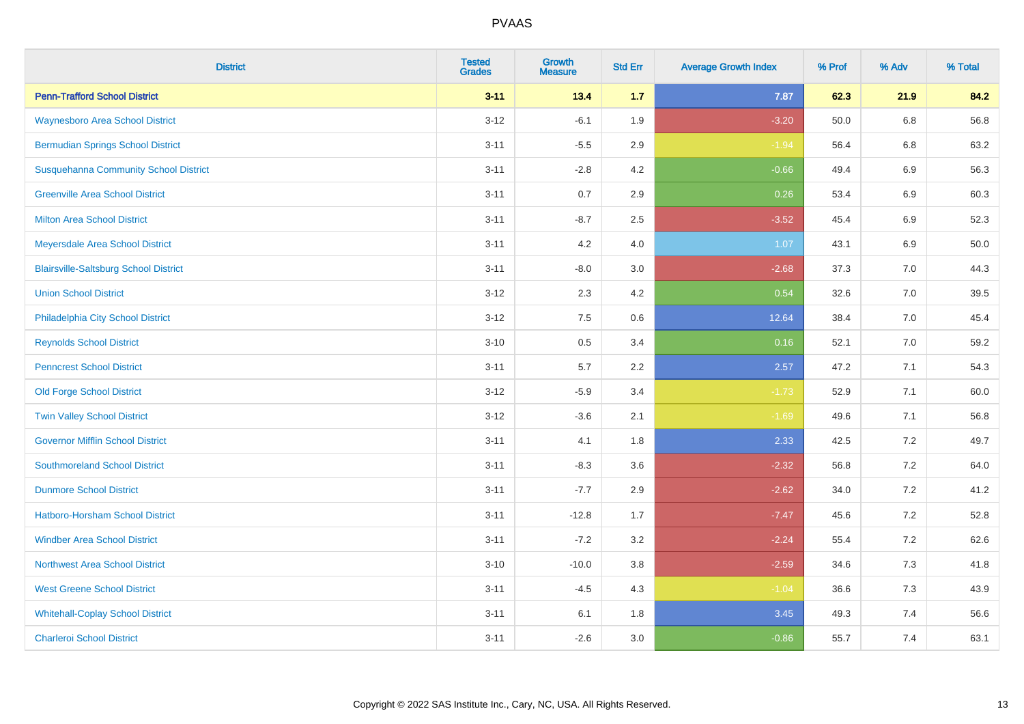| <b>District</b>                              | <b>Tested</b><br><b>Grades</b> | <b>Growth</b><br><b>Measure</b> | <b>Std Err</b> | <b>Average Growth Index</b> | % Prof | % Adv   | % Total |
|----------------------------------------------|--------------------------------|---------------------------------|----------------|-----------------------------|--------|---------|---------|
| <b>Penn-Trafford School District</b>         | $3 - 11$                       | 13.4                            | 1.7            | 7.87                        | 62.3   | 21.9    | 84.2    |
| <b>Waynesboro Area School District</b>       | $3 - 12$                       | $-6.1$                          | 1.9            | $-3.20$                     | 50.0   | $6.8\,$ | 56.8    |
| <b>Bermudian Springs School District</b>     | $3 - 11$                       | $-5.5$                          | 2.9            | $-1.94$                     | 56.4   | 6.8     | 63.2    |
| <b>Susquehanna Community School District</b> | $3 - 11$                       | $-2.8$                          | 4.2            | $-0.66$                     | 49.4   | $6.9\,$ | 56.3    |
| <b>Greenville Area School District</b>       | $3 - 11$                       | 0.7                             | 2.9            | 0.26                        | 53.4   | 6.9     | 60.3    |
| <b>Milton Area School District</b>           | $3 - 11$                       | $-8.7$                          | 2.5            | $-3.52$                     | 45.4   | $6.9\,$ | 52.3    |
| Meyersdale Area School District              | $3 - 11$                       | 4.2                             | 4.0            | 1.07                        | 43.1   | 6.9     | 50.0    |
| <b>Blairsville-Saltsburg School District</b> | $3 - 11$                       | $-8.0$                          | 3.0            | $-2.68$                     | 37.3   | 7.0     | 44.3    |
| <b>Union School District</b>                 | $3 - 12$                       | 2.3                             | 4.2            | 0.54                        | 32.6   | 7.0     | 39.5    |
| Philadelphia City School District            | $3 - 12$                       | 7.5                             | 0.6            | 12.64                       | 38.4   | 7.0     | 45.4    |
| <b>Reynolds School District</b>              | $3 - 10$                       | 0.5                             | 3.4            | 0.16                        | 52.1   | 7.0     | 59.2    |
| <b>Penncrest School District</b>             | $3 - 11$                       | 5.7                             | 2.2            | 2.57                        | 47.2   | 7.1     | 54.3    |
| <b>Old Forge School District</b>             | $3 - 12$                       | $-5.9$                          | 3.4            | $-1.73$                     | 52.9   | 7.1     | 60.0    |
| <b>Twin Valley School District</b>           | $3 - 12$                       | $-3.6$                          | 2.1            | $-1.69$                     | 49.6   | 7.1     | 56.8    |
| <b>Governor Mifflin School District</b>      | $3 - 11$                       | 4.1                             | 1.8            | 2.33                        | 42.5   | 7.2     | 49.7    |
| <b>Southmoreland School District</b>         | $3 - 11$                       | $-8.3$                          | 3.6            | $-2.32$                     | 56.8   | 7.2     | 64.0    |
| <b>Dunmore School District</b>               | $3 - 11$                       | $-7.7$                          | 2.9            | $-2.62$                     | 34.0   | 7.2     | 41.2    |
| <b>Hatboro-Horsham School District</b>       | $3 - 11$                       | $-12.8$                         | 1.7            | $-7.47$                     | 45.6   | 7.2     | 52.8    |
| <b>Windber Area School District</b>          | $3 - 11$                       | $-7.2$                          | 3.2            | $-2.24$                     | 55.4   | 7.2     | 62.6    |
| <b>Northwest Area School District</b>        | $3 - 10$                       | $-10.0$                         | 3.8            | $-2.59$                     | 34.6   | 7.3     | 41.8    |
| <b>West Greene School District</b>           | $3 - 11$                       | $-4.5$                          | 4.3            | $-1.04$                     | 36.6   | 7.3     | 43.9    |
| <b>Whitehall-Coplay School District</b>      | $3 - 11$                       | 6.1                             | 1.8            | 3.45                        | 49.3   | 7.4     | 56.6    |
| <b>Charleroi School District</b>             | $3 - 11$                       | $-2.6$                          | 3.0            | $-0.86$                     | 55.7   | 7.4     | 63.1    |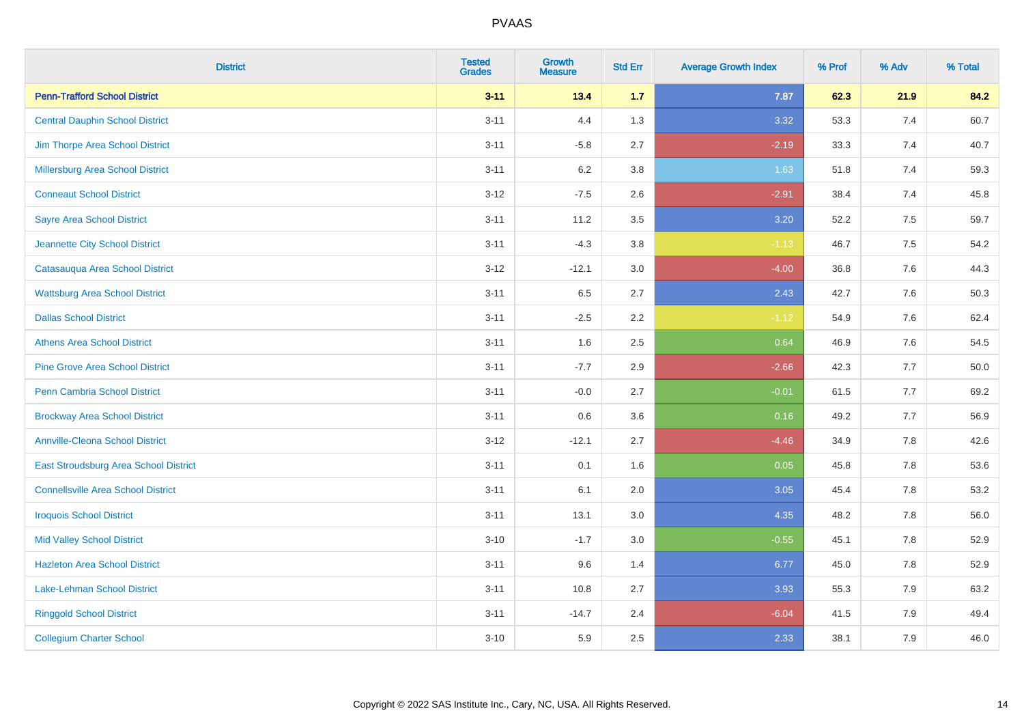| <b>District</b>                           | <b>Tested</b><br><b>Grades</b> | <b>Growth</b><br><b>Measure</b> | <b>Std Err</b> | <b>Average Growth Index</b> | % Prof | % Adv | % Total |
|-------------------------------------------|--------------------------------|---------------------------------|----------------|-----------------------------|--------|-------|---------|
| <b>Penn-Trafford School District</b>      | $3 - 11$                       | 13.4                            | $1.7$          | 7.87                        | 62.3   | 21.9  | 84.2    |
| <b>Central Dauphin School District</b>    | $3 - 11$                       | 4.4                             | 1.3            | 3.32                        | 53.3   | 7.4   | 60.7    |
| Jim Thorpe Area School District           | $3 - 11$                       | $-5.8$                          | 2.7            | $-2.19$                     | 33.3   | 7.4   | 40.7    |
| Millersburg Area School District          | $3 - 11$                       | 6.2                             | 3.8            | 1.63                        | 51.8   | 7.4   | 59.3    |
| <b>Conneaut School District</b>           | $3-12$                         | $-7.5$                          | 2.6            | $-2.91$                     | 38.4   | 7.4   | 45.8    |
| <b>Sayre Area School District</b>         | $3 - 11$                       | 11.2                            | 3.5            | 3.20                        | 52.2   | 7.5   | 59.7    |
| Jeannette City School District            | $3 - 11$                       | $-4.3$                          | 3.8            | $-1.13$                     | 46.7   | 7.5   | 54.2    |
| Catasauqua Area School District           | $3-12$                         | $-12.1$                         | 3.0            | $-4.00$                     | 36.8   | 7.6   | 44.3    |
| <b>Wattsburg Area School District</b>     | $3 - 11$                       | 6.5                             | 2.7            | 2.43                        | 42.7   | 7.6   | 50.3    |
| <b>Dallas School District</b>             | $3 - 11$                       | $-2.5$                          | 2.2            | $-1.12$                     | 54.9   | 7.6   | 62.4    |
| <b>Athens Area School District</b>        | $3 - 11$                       | 1.6                             | 2.5            | 0.64                        | 46.9   | 7.6   | 54.5    |
| <b>Pine Grove Area School District</b>    | $3 - 11$                       | $-7.7$                          | 2.9            | $-2.66$                     | 42.3   | 7.7   | 50.0    |
| Penn Cambria School District              | $3 - 11$                       | $-0.0$                          | 2.7            | $-0.01$                     | 61.5   | $7.7$ | 69.2    |
| <b>Brockway Area School District</b>      | $3 - 11$                       | 0.6                             | 3.6            | 0.16                        | 49.2   | 7.7   | 56.9    |
| <b>Annville-Cleona School District</b>    | $3-12$                         | $-12.1$                         | 2.7            | $-4.46$                     | 34.9   | 7.8   | 42.6    |
| East Stroudsburg Area School District     | $3 - 11$                       | 0.1                             | 1.6            | 0.05                        | 45.8   | 7.8   | 53.6    |
| <b>Connellsville Area School District</b> | $3 - 11$                       | 6.1                             | 2.0            | 3.05                        | 45.4   | 7.8   | 53.2    |
| <b>Iroquois School District</b>           | $3 - 11$                       | 13.1                            | 3.0            | 4.35                        | 48.2   | 7.8   | 56.0    |
| <b>Mid Valley School District</b>         | $3 - 10$                       | $-1.7$                          | 3.0            | $-0.55$                     | 45.1   | 7.8   | 52.9    |
| <b>Hazleton Area School District</b>      | $3 - 11$                       | 9.6                             | 1.4            | 6.77                        | 45.0   | 7.8   | 52.9    |
| Lake-Lehman School District               | $3 - 11$                       | 10.8                            | 2.7            | 3.93                        | 55.3   | 7.9   | 63.2    |
| <b>Ringgold School District</b>           | $3 - 11$                       | $-14.7$                         | 2.4            | $-6.04$                     | 41.5   | 7.9   | 49.4    |
| <b>Collegium Charter School</b>           | $3 - 10$                       | 5.9                             | 2.5            | 2.33                        | 38.1   | 7.9   | 46.0    |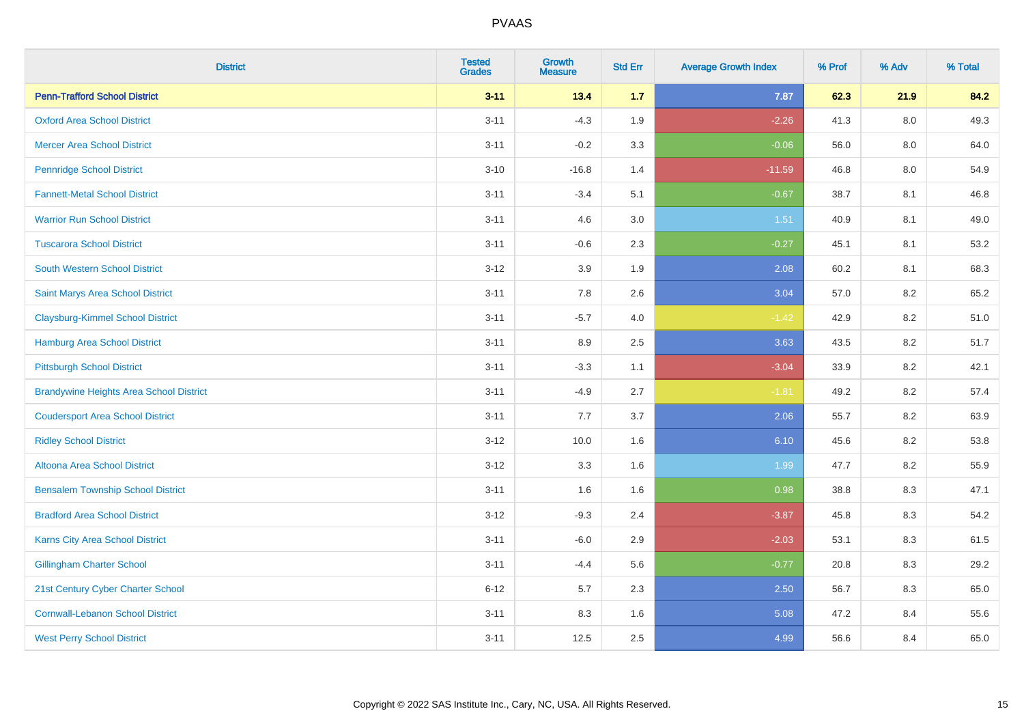| <b>District</b>                                | <b>Tested</b><br><b>Grades</b> | <b>Growth</b><br><b>Measure</b> | <b>Std Err</b> | <b>Average Growth Index</b> | % Prof | % Adv   | % Total |
|------------------------------------------------|--------------------------------|---------------------------------|----------------|-----------------------------|--------|---------|---------|
| <b>Penn-Trafford School District</b>           | $3 - 11$                       | 13.4                            | $1.7$          | 7.87                        | 62.3   | 21.9    | 84.2    |
| <b>Oxford Area School District</b>             | $3 - 11$                       | $-4.3$                          | 1.9            | $-2.26$                     | 41.3   | $8.0\,$ | 49.3    |
| <b>Mercer Area School District</b>             | $3 - 11$                       | $-0.2$                          | 3.3            | $-0.06$                     | 56.0   | 8.0     | 64.0    |
| <b>Pennridge School District</b>               | $3 - 10$                       | $-16.8$                         | 1.4            | $-11.59$                    | 46.8   | $8.0\,$ | 54.9    |
| <b>Fannett-Metal School District</b>           | $3 - 11$                       | $-3.4$                          | 5.1            | $-0.67$                     | 38.7   | 8.1     | 46.8    |
| <b>Warrior Run School District</b>             | $3 - 11$                       | 4.6                             | 3.0            | 1.51                        | 40.9   | 8.1     | 49.0    |
| <b>Tuscarora School District</b>               | $3 - 11$                       | $-0.6$                          | 2.3            | $-0.27$                     | 45.1   | 8.1     | 53.2    |
| <b>South Western School District</b>           | $3 - 12$                       | 3.9                             | 1.9            | 2.08                        | 60.2   | 8.1     | 68.3    |
| Saint Marys Area School District               | $3 - 11$                       | 7.8                             | 2.6            | 3.04                        | 57.0   | 8.2     | 65.2    |
| <b>Claysburg-Kimmel School District</b>        | $3 - 11$                       | $-5.7$                          | 4.0            | $-1.42$                     | 42.9   | $8.2\,$ | 51.0    |
| Hamburg Area School District                   | $3 - 11$                       | 8.9                             | 2.5            | 3.63                        | 43.5   | 8.2     | 51.7    |
| <b>Pittsburgh School District</b>              | $3 - 11$                       | $-3.3$                          | 1.1            | $-3.04$                     | 33.9   | 8.2     | 42.1    |
| <b>Brandywine Heights Area School District</b> | $3 - 11$                       | $-4.9$                          | 2.7            | $-1.81$                     | 49.2   | 8.2     | 57.4    |
| <b>Coudersport Area School District</b>        | $3 - 11$                       | 7.7                             | 3.7            | 2.06                        | 55.7   | 8.2     | 63.9    |
| <b>Ridley School District</b>                  | $3-12$                         | 10.0                            | 1.6            | 6.10                        | 45.6   | 8.2     | 53.8    |
| Altoona Area School District                   | $3 - 12$                       | 3.3                             | 1.6            | 1.99                        | 47.7   | 8.2     | 55.9    |
| <b>Bensalem Township School District</b>       | $3 - 11$                       | 1.6                             | 1.6            | 0.98                        | 38.8   | 8.3     | 47.1    |
| <b>Bradford Area School District</b>           | $3-12$                         | $-9.3$                          | 2.4            | $-3.87$                     | 45.8   | 8.3     | 54.2    |
| Karns City Area School District                | $3 - 11$                       | $-6.0$                          | 2.9            | $-2.03$                     | 53.1   | 8.3     | 61.5    |
| <b>Gillingham Charter School</b>               | $3 - 11$                       | $-4.4$                          | 5.6            | $-0.77$                     | 20.8   | 8.3     | 29.2    |
| 21st Century Cyber Charter School              | $6 - 12$                       | 5.7                             | 2.3            | 2.50                        | 56.7   | 8.3     | 65.0    |
| <b>Cornwall-Lebanon School District</b>        | $3 - 11$                       | 8.3                             | 1.6            | 5.08                        | 47.2   | 8.4     | 55.6    |
| <b>West Perry School District</b>              | $3 - 11$                       | 12.5                            | 2.5            | 4.99                        | 56.6   | 8.4     | 65.0    |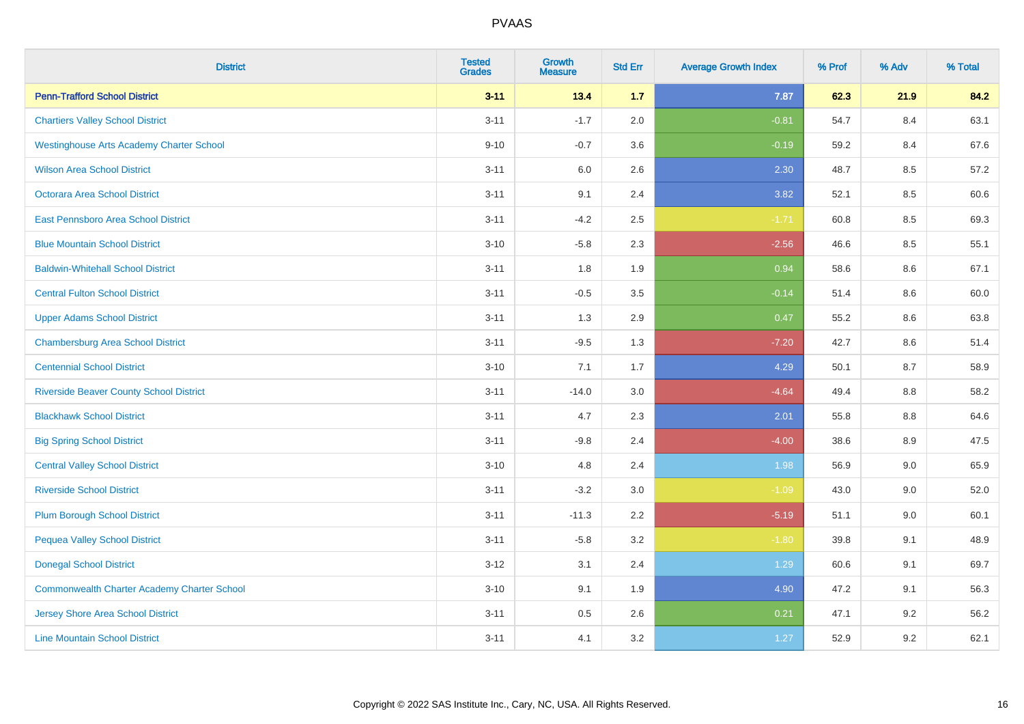| <b>District</b>                                 | <b>Tested</b><br><b>Grades</b> | <b>Growth</b><br><b>Measure</b> | <b>Std Err</b> | <b>Average Growth Index</b> | % Prof | % Adv   | % Total |
|-------------------------------------------------|--------------------------------|---------------------------------|----------------|-----------------------------|--------|---------|---------|
| <b>Penn-Trafford School District</b>            | $3 - 11$                       | 13.4                            | 1.7            | 7.87                        | 62.3   | 21.9    | 84.2    |
| <b>Chartiers Valley School District</b>         | $3 - 11$                       | $-1.7$                          | 2.0            | $-0.81$                     | 54.7   | 8.4     | 63.1    |
| <b>Westinghouse Arts Academy Charter School</b> | $9 - 10$                       | $-0.7$                          | 3.6            | $-0.19$                     | 59.2   | 8.4     | 67.6    |
| <b>Wilson Area School District</b>              | $3 - 11$                       | 6.0                             | 2.6            | 2.30                        | 48.7   | 8.5     | 57.2    |
| <b>Octorara Area School District</b>            | $3 - 11$                       | 9.1                             | 2.4            | 3.82                        | 52.1   | 8.5     | 60.6    |
| <b>East Pennsboro Area School District</b>      | $3 - 11$                       | $-4.2$                          | 2.5            | $-1.71$                     | 60.8   | 8.5     | 69.3    |
| <b>Blue Mountain School District</b>            | $3 - 10$                       | $-5.8$                          | 2.3            | $-2.56$                     | 46.6   | 8.5     | 55.1    |
| <b>Baldwin-Whitehall School District</b>        | $3 - 11$                       | 1.8                             | 1.9            | 0.94                        | 58.6   | 8.6     | 67.1    |
| <b>Central Fulton School District</b>           | $3 - 11$                       | $-0.5$                          | 3.5            | $-0.14$                     | 51.4   | 8.6     | 60.0    |
| <b>Upper Adams School District</b>              | $3 - 11$                       | 1.3                             | 2.9            | 0.47                        | 55.2   | 8.6     | 63.8    |
| <b>Chambersburg Area School District</b>        | $3 - 11$                       | $-9.5$                          | 1.3            | $-7.20$                     | 42.7   | 8.6     | 51.4    |
| <b>Centennial School District</b>               | $3 - 10$                       | 7.1                             | 1.7            | 4.29                        | 50.1   | 8.7     | 58.9    |
| <b>Riverside Beaver County School District</b>  | $3 - 11$                       | $-14.0$                         | 3.0            | $-4.64$                     | 49.4   | $8.8\,$ | 58.2    |
| <b>Blackhawk School District</b>                | $3 - 11$                       | 4.7                             | 2.3            | 2.01                        | 55.8   | 8.8     | 64.6    |
| <b>Big Spring School District</b>               | $3 - 11$                       | $-9.8$                          | 2.4            | $-4.00$                     | 38.6   | 8.9     | 47.5    |
| <b>Central Valley School District</b>           | $3 - 10$                       | 4.8                             | 2.4            | 1.98                        | 56.9   | 9.0     | 65.9    |
| <b>Riverside School District</b>                | $3 - 11$                       | $-3.2$                          | 3.0            | $-1.09$                     | 43.0   | 9.0     | 52.0    |
| <b>Plum Borough School District</b>             | $3 - 11$                       | $-11.3$                         | 2.2            | $-5.19$                     | 51.1   | 9.0     | 60.1    |
| <b>Pequea Valley School District</b>            | $3 - 11$                       | $-5.8$                          | 3.2            | $-1.80$                     | 39.8   | 9.1     | 48.9    |
| <b>Donegal School District</b>                  | $3 - 12$                       | 3.1                             | 2.4            | 1.29                        | 60.6   | 9.1     | 69.7    |
| Commonwealth Charter Academy Charter School     | $3 - 10$                       | 9.1                             | 1.9            | 4.90                        | 47.2   | 9.1     | 56.3    |
| <b>Jersey Shore Area School District</b>        | $3 - 11$                       | $0.5\,$                         | 2.6            | 0.21                        | 47.1   | 9.2     | 56.2    |
| <b>Line Mountain School District</b>            | $3 - 11$                       | 4.1                             | 3.2            | 1.27                        | 52.9   | 9.2     | 62.1    |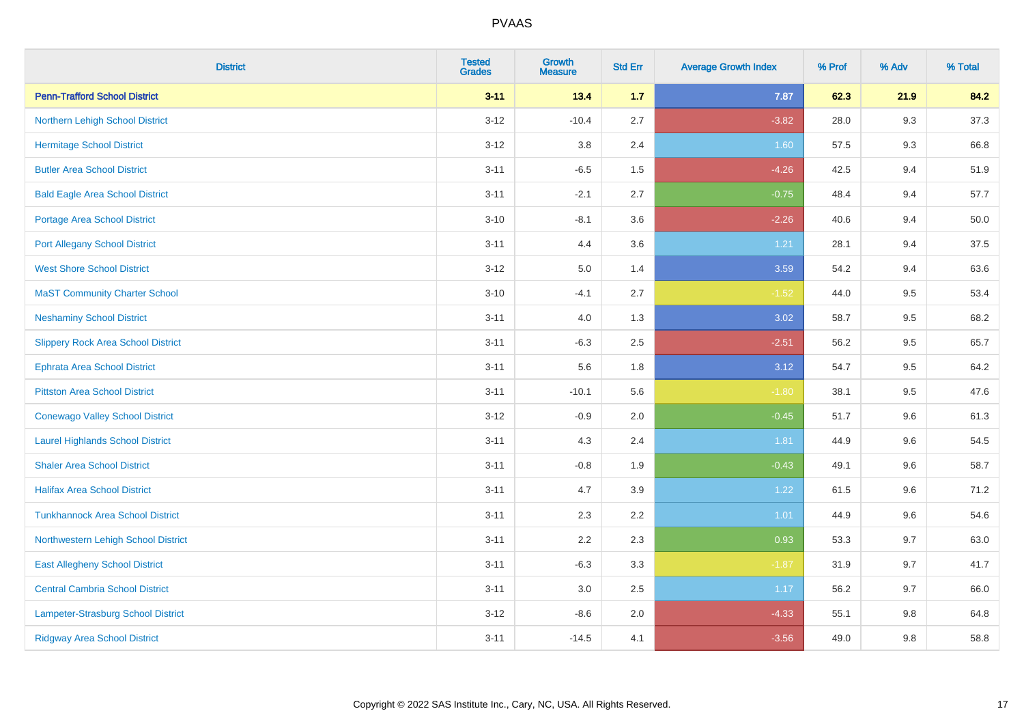| <b>District</b>                           | <b>Tested</b><br><b>Grades</b> | <b>Growth</b><br><b>Measure</b> | <b>Std Err</b> | <b>Average Growth Index</b> | % Prof | % Adv | % Total |
|-------------------------------------------|--------------------------------|---------------------------------|----------------|-----------------------------|--------|-------|---------|
| <b>Penn-Trafford School District</b>      | $3 - 11$                       | 13.4                            | 1.7            | 7.87                        | 62.3   | 21.9  | 84.2    |
| Northern Lehigh School District           | $3 - 12$                       | $-10.4$                         | 2.7            | $-3.82$                     | 28.0   | 9.3   | 37.3    |
| <b>Hermitage School District</b>          | $3 - 12$                       | 3.8                             | 2.4            | 1.60                        | 57.5   | 9.3   | 66.8    |
| <b>Butler Area School District</b>        | $3 - 11$                       | $-6.5$                          | 1.5            | $-4.26$                     | 42.5   | 9.4   | 51.9    |
| <b>Bald Eagle Area School District</b>    | $3 - 11$                       | $-2.1$                          | 2.7            | $-0.75$                     | 48.4   | 9.4   | 57.7    |
| <b>Portage Area School District</b>       | $3 - 10$                       | $-8.1$                          | 3.6            | $-2.26$                     | 40.6   | 9.4   | 50.0    |
| <b>Port Allegany School District</b>      | $3 - 11$                       | 4.4                             | 3.6            | 1.21                        | 28.1   | 9.4   | 37.5    |
| <b>West Shore School District</b>         | $3 - 12$                       | 5.0                             | 1.4            | 3.59                        | 54.2   | 9.4   | 63.6    |
| <b>MaST Community Charter School</b>      | $3 - 10$                       | $-4.1$                          | 2.7            | $-1.52$                     | 44.0   | 9.5   | 53.4    |
| <b>Neshaminy School District</b>          | $3 - 11$                       | 4.0                             | 1.3            | 3.02                        | 58.7   | 9.5   | 68.2    |
| <b>Slippery Rock Area School District</b> | $3 - 11$                       | $-6.3$                          | 2.5            | $-2.51$                     | 56.2   | 9.5   | 65.7    |
| Ephrata Area School District              | $3 - 11$                       | 5.6                             | 1.8            | 3.12                        | 54.7   | 9.5   | 64.2    |
| <b>Pittston Area School District</b>      | $3 - 11$                       | $-10.1$                         | 5.6            | $-1.80$                     | 38.1   | 9.5   | 47.6    |
| <b>Conewago Valley School District</b>    | $3 - 12$                       | $-0.9$                          | 2.0            | $-0.45$                     | 51.7   | 9.6   | 61.3    |
| <b>Laurel Highlands School District</b>   | $3 - 11$                       | 4.3                             | 2.4            | 1.81                        | 44.9   | 9.6   | 54.5    |
| <b>Shaler Area School District</b>        | $3 - 11$                       | $-0.8$                          | 1.9            | $-0.43$                     | 49.1   | 9.6   | 58.7    |
| <b>Halifax Area School District</b>       | $3 - 11$                       | 4.7                             | 3.9            | 1.22                        | 61.5   | 9.6   | 71.2    |
| <b>Tunkhannock Area School District</b>   | $3 - 11$                       | 2.3                             | 2.2            | 1.01                        | 44.9   | 9.6   | 54.6    |
| Northwestern Lehigh School District       | $3 - 11$                       | 2.2                             | 2.3            | 0.93                        | 53.3   | 9.7   | 63.0    |
| <b>East Allegheny School District</b>     | $3 - 11$                       | $-6.3$                          | 3.3            | $-1.87$                     | 31.9   | 9.7   | 41.7    |
| <b>Central Cambria School District</b>    | $3 - 11$                       | 3.0                             | 2.5            | 1.17                        | 56.2   | 9.7   | 66.0    |
| Lampeter-Strasburg School District        | $3 - 12$                       | $-8.6$                          | 2.0            | $-4.33$                     | 55.1   | 9.8   | 64.8    |
| <b>Ridgway Area School District</b>       | $3 - 11$                       | $-14.5$                         | 4.1            | $-3.56$                     | 49.0   | 9.8   | 58.8    |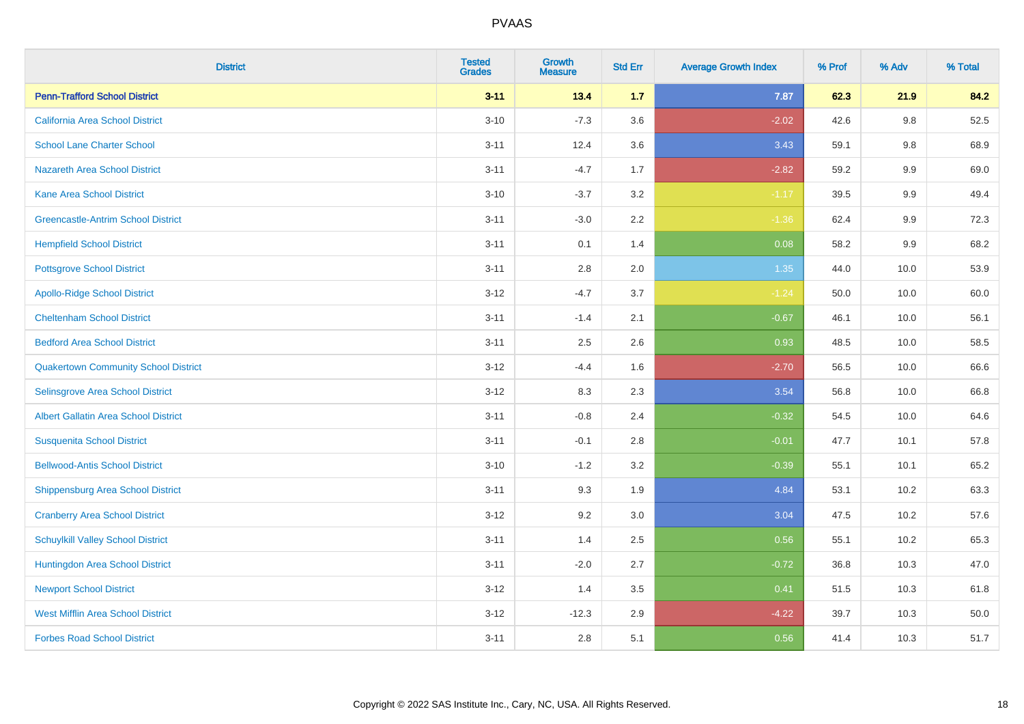| <b>District</b>                             | <b>Tested</b><br><b>Grades</b> | <b>Growth</b><br><b>Measure</b> | <b>Std Err</b> | <b>Average Growth Index</b> | % Prof | % Adv   | % Total |
|---------------------------------------------|--------------------------------|---------------------------------|----------------|-----------------------------|--------|---------|---------|
| <b>Penn-Trafford School District</b>        | $3 - 11$                       | 13.4                            | 1.7            | 7.87                        | 62.3   | 21.9    | 84.2    |
| California Area School District             | $3 - 10$                       | $-7.3$                          | 3.6            | $-2.02$                     | 42.6   | $9.8\,$ | 52.5    |
| <b>School Lane Charter School</b>           | $3 - 11$                       | 12.4                            | 3.6            | 3.43                        | 59.1   | 9.8     | 68.9    |
| <b>Nazareth Area School District</b>        | $3 - 11$                       | $-4.7$                          | 1.7            | $-2.82$                     | 59.2   | 9.9     | 69.0    |
| <b>Kane Area School District</b>            | $3 - 10$                       | $-3.7$                          | 3.2            | $-1.17$                     | 39.5   | 9.9     | 49.4    |
| <b>Greencastle-Antrim School District</b>   | $3 - 11$                       | $-3.0$                          | 2.2            | $-1.36$                     | 62.4   | 9.9     | 72.3    |
| <b>Hempfield School District</b>            | $3 - 11$                       | 0.1                             | 1.4            | 0.08                        | 58.2   | 9.9     | 68.2    |
| <b>Pottsgrove School District</b>           | $3 - 11$                       | 2.8                             | 2.0            | 1.35                        | 44.0   | 10.0    | 53.9    |
| <b>Apollo-Ridge School District</b>         | $3 - 12$                       | $-4.7$                          | 3.7            | $-1.24$                     | 50.0   | 10.0    | 60.0    |
| <b>Cheltenham School District</b>           | $3 - 11$                       | $-1.4$                          | 2.1            | $-0.67$                     | 46.1   | 10.0    | 56.1    |
| <b>Bedford Area School District</b>         | $3 - 11$                       | 2.5                             | 2.6            | 0.93                        | 48.5   | 10.0    | 58.5    |
| <b>Quakertown Community School District</b> | $3 - 12$                       | $-4.4$                          | 1.6            | $-2.70$                     | 56.5   | 10.0    | 66.6    |
| Selinsgrove Area School District            | $3-12$                         | 8.3                             | 2.3            | 3.54                        | 56.8   | 10.0    | 66.8    |
| <b>Albert Gallatin Area School District</b> | $3 - 11$                       | $-0.8$                          | 2.4            | $-0.32$                     | 54.5   | 10.0    | 64.6    |
| <b>Susquenita School District</b>           | $3 - 11$                       | $-0.1$                          | 2.8            | $-0.01$                     | 47.7   | 10.1    | 57.8    |
| <b>Bellwood-Antis School District</b>       | $3 - 10$                       | $-1.2$                          | 3.2            | $-0.39$                     | 55.1   | 10.1    | 65.2    |
| <b>Shippensburg Area School District</b>    | $3 - 11$                       | 9.3                             | 1.9            | 4.84                        | 53.1   | 10.2    | 63.3    |
| <b>Cranberry Area School District</b>       | $3 - 12$                       | 9.2                             | 3.0            | 3.04                        | 47.5   | 10.2    | 57.6    |
| <b>Schuylkill Valley School District</b>    | $3 - 11$                       | 1.4                             | 2.5            | 0.56                        | 55.1   | 10.2    | 65.3    |
| Huntingdon Area School District             | $3 - 11$                       | $-2.0$                          | 2.7            | $-0.72$                     | 36.8   | 10.3    | 47.0    |
| <b>Newport School District</b>              | $3 - 12$                       | 1.4                             | 3.5            | 0.41                        | 51.5   | 10.3    | 61.8    |
| <b>West Mifflin Area School District</b>    | $3 - 12$                       | $-12.3$                         | 2.9            | $-4.22$                     | 39.7   | 10.3    | 50.0    |
| <b>Forbes Road School District</b>          | $3 - 11$                       | 2.8                             | 5.1            | 0.56                        | 41.4   | 10.3    | 51.7    |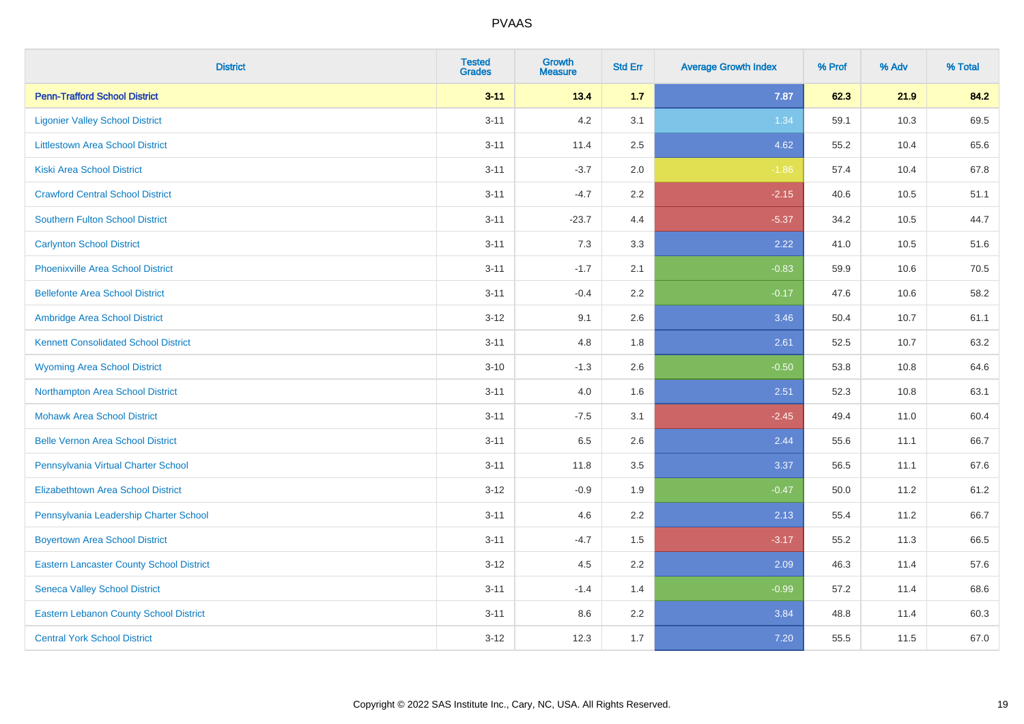| <b>District</b>                                 | <b>Tested</b><br><b>Grades</b> | <b>Growth</b><br><b>Measure</b> | <b>Std Err</b> | <b>Average Growth Index</b> | % Prof | % Adv | % Total |
|-------------------------------------------------|--------------------------------|---------------------------------|----------------|-----------------------------|--------|-------|---------|
| <b>Penn-Trafford School District</b>            | $3 - 11$                       | 13.4                            | $1.7$          | 7.87                        | 62.3   | 21.9  | 84.2    |
| <b>Ligonier Valley School District</b>          | $3 - 11$                       | 4.2                             | 3.1            | 1.34                        | 59.1   | 10.3  | 69.5    |
| <b>Littlestown Area School District</b>         | $3 - 11$                       | 11.4                            | 2.5            | 4.62                        | 55.2   | 10.4  | 65.6    |
| <b>Kiski Area School District</b>               | $3 - 11$                       | $-3.7$                          | 2.0            | $-1.86$                     | 57.4   | 10.4  | 67.8    |
| <b>Crawford Central School District</b>         | $3 - 11$                       | $-4.7$                          | 2.2            | $-2.15$                     | 40.6   | 10.5  | 51.1    |
| <b>Southern Fulton School District</b>          | $3 - 11$                       | $-23.7$                         | 4.4            | $-5.37$                     | 34.2   | 10.5  | 44.7    |
| <b>Carlynton School District</b>                | $3 - 11$                       | 7.3                             | 3.3            | 2.22                        | 41.0   | 10.5  | 51.6    |
| <b>Phoenixville Area School District</b>        | $3 - 11$                       | $-1.7$                          | 2.1            | $-0.83$                     | 59.9   | 10.6  | 70.5    |
| <b>Bellefonte Area School District</b>          | $3 - 11$                       | $-0.4$                          | $2.2^{\circ}$  | $-0.17$                     | 47.6   | 10.6  | 58.2    |
| Ambridge Area School District                   | $3-12$                         | 9.1                             | 2.6            | 3.46                        | 50.4   | 10.7  | 61.1    |
| <b>Kennett Consolidated School District</b>     | $3 - 11$                       | 4.8                             | 1.8            | 2.61                        | 52.5   | 10.7  | 63.2    |
| <b>Wyoming Area School District</b>             | $3 - 10$                       | $-1.3$                          | 2.6            | $-0.50$                     | 53.8   | 10.8  | 64.6    |
| Northampton Area School District                | $3 - 11$                       | 4.0                             | 1.6            | 2.51                        | 52.3   | 10.8  | 63.1    |
| <b>Mohawk Area School District</b>              | $3 - 11$                       | $-7.5$                          | 3.1            | $-2.45$                     | 49.4   | 11.0  | 60.4    |
| <b>Belle Vernon Area School District</b>        | $3 - 11$                       | 6.5                             | 2.6            | 2.44                        | 55.6   | 11.1  | 66.7    |
| Pennsylvania Virtual Charter School             | $3 - 11$                       | 11.8                            | 3.5            | 3.37                        | 56.5   | 11.1  | 67.6    |
| <b>Elizabethtown Area School District</b>       | $3 - 12$                       | $-0.9$                          | 1.9            | $-0.47$                     | 50.0   | 11.2  | 61.2    |
| Pennsylvania Leadership Charter School          | $3 - 11$                       | 4.6                             | 2.2            | 2.13                        | 55.4   | 11.2  | 66.7    |
| <b>Boyertown Area School District</b>           | $3 - 11$                       | $-4.7$                          | 1.5            | $-3.17$                     | 55.2   | 11.3  | 66.5    |
| <b>Eastern Lancaster County School District</b> | $3 - 12$                       | 4.5                             | 2.2            | 2.09                        | 46.3   | 11.4  | 57.6    |
| <b>Seneca Valley School District</b>            | $3 - 11$                       | $-1.4$                          | 1.4            | $-0.99$                     | 57.2   | 11.4  | 68.6    |
| <b>Eastern Lebanon County School District</b>   | $3 - 11$                       | 8.6                             | 2.2            | 3.84                        | 48.8   | 11.4  | 60.3    |
| <b>Central York School District</b>             | $3 - 12$                       | 12.3                            | 1.7            | 7.20                        | 55.5   | 11.5  | 67.0    |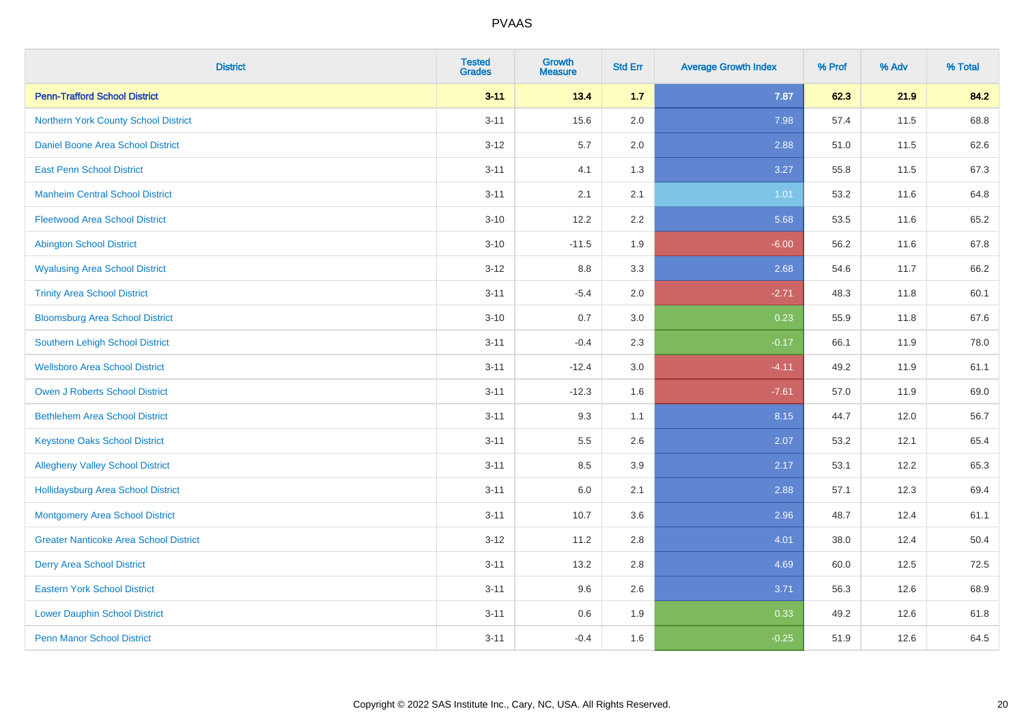| <b>District</b>                               | <b>Tested</b><br><b>Grades</b> | <b>Growth</b><br><b>Measure</b> | <b>Std Err</b> | <b>Average Growth Index</b> | % Prof | % Adv | % Total |
|-----------------------------------------------|--------------------------------|---------------------------------|----------------|-----------------------------|--------|-------|---------|
| <b>Penn-Trafford School District</b>          | $3 - 11$                       | 13.4                            | 1.7            | 7.87                        | 62.3   | 21.9  | 84.2    |
| Northern York County School District          | $3 - 11$                       | 15.6                            | 2.0            | 7.98                        | 57.4   | 11.5  | 68.8    |
| Daniel Boone Area School District             | $3 - 12$                       | 5.7                             | 2.0            | 2.88                        | 51.0   | 11.5  | 62.6    |
| <b>East Penn School District</b>              | $3 - 11$                       | 4.1                             | 1.3            | 3.27                        | 55.8   | 11.5  | 67.3    |
| <b>Manheim Central School District</b>        | $3 - 11$                       | 2.1                             | 2.1            | 1.01                        | 53.2   | 11.6  | 64.8    |
| <b>Fleetwood Area School District</b>         | $3 - 10$                       | 12.2                            | 2.2            | 5.68                        | 53.5   | 11.6  | 65.2    |
| <b>Abington School District</b>               | $3 - 10$                       | $-11.5$                         | 1.9            | $-6.00$                     | 56.2   | 11.6  | 67.8    |
| <b>Wyalusing Area School District</b>         | $3 - 12$                       | 8.8                             | 3.3            | 2.68                        | 54.6   | 11.7  | 66.2    |
| <b>Trinity Area School District</b>           | $3 - 11$                       | $-5.4$                          | 2.0            | $-2.71$                     | 48.3   | 11.8  | 60.1    |
| <b>Bloomsburg Area School District</b>        | $3 - 10$                       | 0.7                             | 3.0            | 0.23                        | 55.9   | 11.8  | 67.6    |
| Southern Lehigh School District               | $3 - 11$                       | $-0.4$                          | 2.3            | $-0.17$                     | 66.1   | 11.9  | 78.0    |
| <b>Wellsboro Area School District</b>         | $3 - 11$                       | $-12.4$                         | 3.0            | $-4.11$                     | 49.2   | 11.9  | 61.1    |
| <b>Owen J Roberts School District</b>         | $3 - 11$                       | $-12.3$                         | 1.6            | $-7.61$                     | 57.0   | 11.9  | 69.0    |
| <b>Bethlehem Area School District</b>         | $3 - 11$                       | 9.3                             | 1.1            | 8.15                        | 44.7   | 12.0  | 56.7    |
| <b>Keystone Oaks School District</b>          | $3 - 11$                       | $5.5\,$                         | 2.6            | 2.07                        | 53.2   | 12.1  | 65.4    |
| <b>Allegheny Valley School District</b>       | $3 - 11$                       | 8.5                             | 3.9            | 2.17                        | 53.1   | 12.2  | 65.3    |
| <b>Hollidaysburg Area School District</b>     | $3 - 11$                       | 6.0                             | 2.1            | 2.88                        | 57.1   | 12.3  | 69.4    |
| Montgomery Area School District               | $3 - 11$                       | 10.7                            | 3.6            | 2.96                        | 48.7   | 12.4  | 61.1    |
| <b>Greater Nanticoke Area School District</b> | $3 - 12$                       | 11.2                            | 2.8            | 4.01                        | 38.0   | 12.4  | 50.4    |
| <b>Derry Area School District</b>             | $3 - 11$                       | 13.2                            | 2.8            | 4.69                        | 60.0   | 12.5  | 72.5    |
| <b>Eastern York School District</b>           | $3 - 11$                       | 9.6                             | 2.6            | 3.71                        | 56.3   | 12.6  | 68.9    |
| <b>Lower Dauphin School District</b>          | $3 - 11$                       | 0.6                             | 1.9            | 0.33                        | 49.2   | 12.6  | 61.8    |
| <b>Penn Manor School District</b>             | $3 - 11$                       | $-0.4$                          | 1.6            | $-0.25$                     | 51.9   | 12.6  | 64.5    |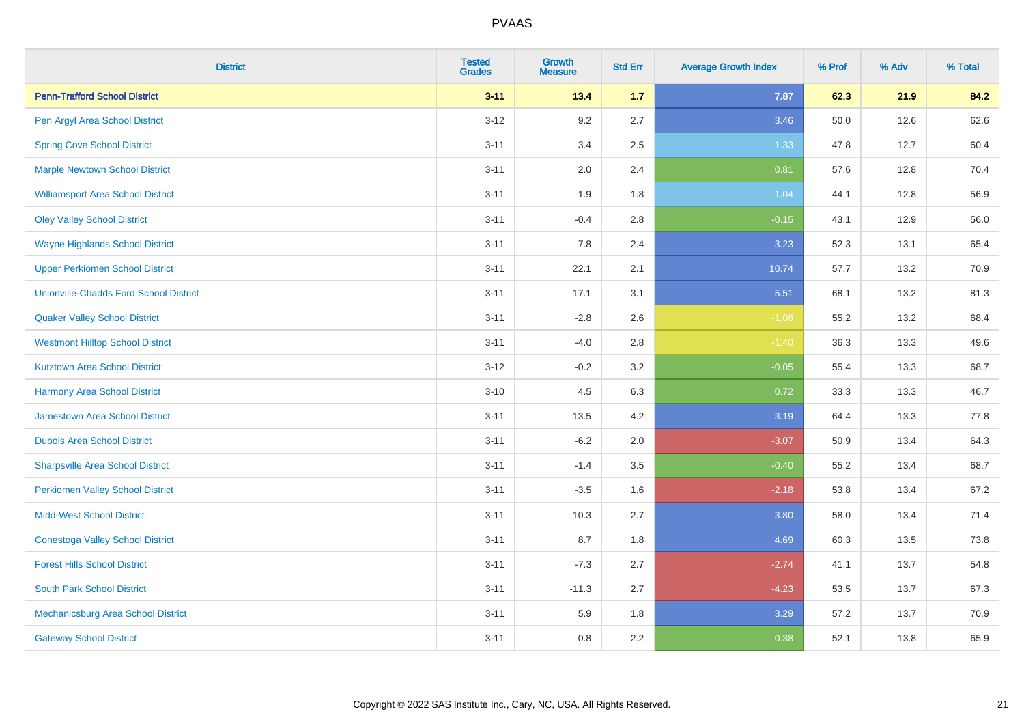| <b>District</b>                               | <b>Tested</b><br><b>Grades</b> | <b>Growth</b><br><b>Measure</b> | <b>Std Err</b> | <b>Average Growth Index</b> | % Prof | % Adv | % Total |
|-----------------------------------------------|--------------------------------|---------------------------------|----------------|-----------------------------|--------|-------|---------|
| <b>Penn-Trafford School District</b>          | $3 - 11$                       | 13.4                            | 1.7            | 7.87                        | 62.3   | 21.9  | 84.2    |
| Pen Argyl Area School District                | $3 - 12$                       | 9.2                             | 2.7            | 3.46                        | 50.0   | 12.6  | 62.6    |
| <b>Spring Cove School District</b>            | $3 - 11$                       | 3.4                             | 2.5            | 1.33                        | 47.8   | 12.7  | 60.4    |
| <b>Marple Newtown School District</b>         | $3 - 11$                       | 2.0                             | 2.4            | 0.81                        | 57.6   | 12.8  | 70.4    |
| <b>Williamsport Area School District</b>      | $3 - 11$                       | 1.9                             | 1.8            | 1.04                        | 44.1   | 12.8  | 56.9    |
| <b>Oley Valley School District</b>            | $3 - 11$                       | $-0.4$                          | 2.8            | $-0.15$                     | 43.1   | 12.9  | 56.0    |
| <b>Wayne Highlands School District</b>        | $3 - 11$                       | 7.8                             | 2.4            | 3.23                        | 52.3   | 13.1  | 65.4    |
| <b>Upper Perkiomen School District</b>        | $3 - 11$                       | 22.1                            | 2.1            | 10.74                       | 57.7   | 13.2  | 70.9    |
| <b>Unionville-Chadds Ford School District</b> | $3 - 11$                       | 17.1                            | 3.1            | 5.51                        | 68.1   | 13.2  | 81.3    |
| <b>Quaker Valley School District</b>          | $3 - 11$                       | $-2.8$                          | 2.6            | $-1.08$                     | 55.2   | 13.2  | 68.4    |
| <b>Westmont Hilltop School District</b>       | $3 - 11$                       | $-4.0$                          | $2.8\,$        | $-1.40$                     | 36.3   | 13.3  | 49.6    |
| <b>Kutztown Area School District</b>          | $3 - 12$                       | $-0.2$                          | 3.2            | $-0.05$                     | 55.4   | 13.3  | 68.7    |
| <b>Harmony Area School District</b>           | $3 - 10$                       | 4.5                             | 6.3            | 0.72                        | 33.3   | 13.3  | 46.7    |
| <b>Jamestown Area School District</b>         | $3 - 11$                       | 13.5                            | 4.2            | 3.19                        | 64.4   | 13.3  | 77.8    |
| <b>Dubois Area School District</b>            | $3 - 11$                       | $-6.2$                          | 2.0            | $-3.07$                     | 50.9   | 13.4  | 64.3    |
| <b>Sharpsville Area School District</b>       | $3 - 11$                       | $-1.4$                          | 3.5            | $-0.40$                     | 55.2   | 13.4  | 68.7    |
| <b>Perkiomen Valley School District</b>       | $3 - 11$                       | $-3.5$                          | 1.6            | $-2.18$                     | 53.8   | 13.4  | 67.2    |
| <b>Midd-West School District</b>              | $3 - 11$                       | 10.3                            | 2.7            | 3.80                        | 58.0   | 13.4  | 71.4    |
| <b>Conestoga Valley School District</b>       | $3 - 11$                       | 8.7                             | 1.8            | 4.69                        | 60.3   | 13.5  | 73.8    |
| <b>Forest Hills School District</b>           | $3 - 11$                       | $-7.3$                          | 2.7            | $-2.74$                     | 41.1   | 13.7  | 54.8    |
| <b>South Park School District</b>             | $3 - 11$                       | $-11.3$                         | 2.7            | $-4.23$                     | 53.5   | 13.7  | 67.3    |
| Mechanicsburg Area School District            | $3 - 11$                       | 5.9                             | 1.8            | 3.29                        | 57.2   | 13.7  | 70.9    |
| <b>Gateway School District</b>                | $3 - 11$                       | 0.8                             | 2.2            | 0.38                        | 52.1   | 13.8  | 65.9    |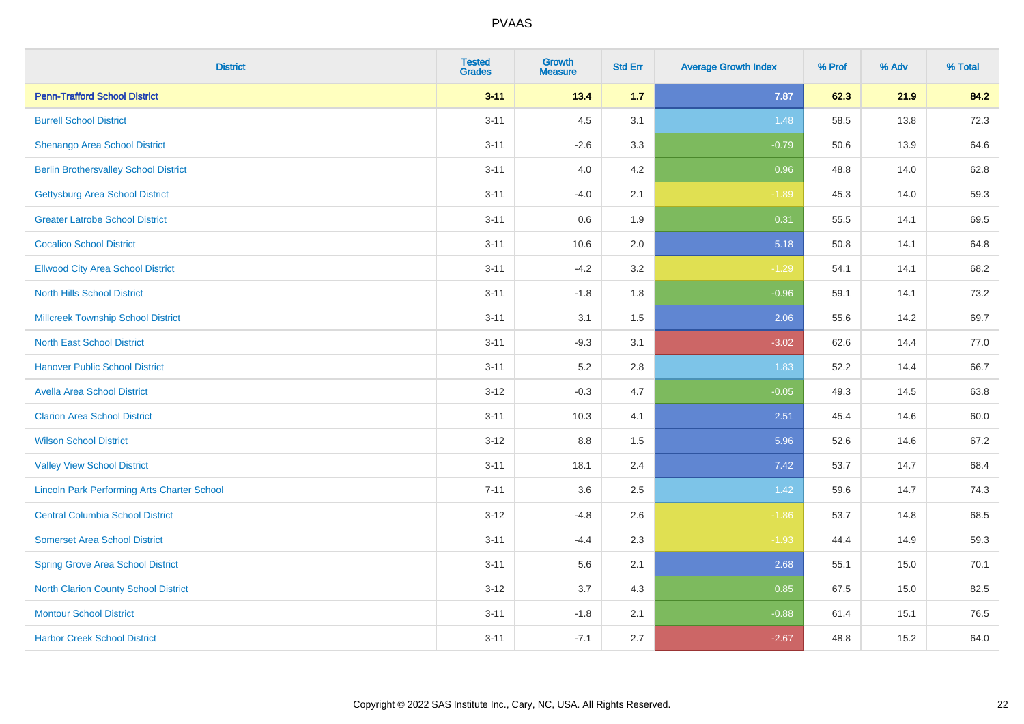| <b>District</b>                                    | <b>Tested</b><br><b>Grades</b> | <b>Growth</b><br><b>Measure</b> | <b>Std Err</b> | <b>Average Growth Index</b> | % Prof | % Adv | % Total |
|----------------------------------------------------|--------------------------------|---------------------------------|----------------|-----------------------------|--------|-------|---------|
| <b>Penn-Trafford School District</b>               | $3 - 11$                       | 13.4                            | 1.7            | 7.87                        | 62.3   | 21.9  | 84.2    |
| <b>Burrell School District</b>                     | $3 - 11$                       | 4.5                             | 3.1            | 1.48                        | 58.5   | 13.8  | 72.3    |
| Shenango Area School District                      | $3 - 11$                       | $-2.6$                          | 3.3            | $-0.79$                     | 50.6   | 13.9  | 64.6    |
| <b>Berlin Brothersvalley School District</b>       | $3 - 11$                       | 4.0                             | 4.2            | 0.96                        | 48.8   | 14.0  | 62.8    |
| <b>Gettysburg Area School District</b>             | $3 - 11$                       | $-4.0$                          | 2.1            | $-1.89$                     | 45.3   | 14.0  | 59.3    |
| <b>Greater Latrobe School District</b>             | $3 - 11$                       | 0.6                             | 1.9            | 0.31                        | 55.5   | 14.1  | 69.5    |
| <b>Cocalico School District</b>                    | $3 - 11$                       | 10.6                            | 2.0            | 5.18                        | 50.8   | 14.1  | 64.8    |
| <b>Ellwood City Area School District</b>           | $3 - 11$                       | $-4.2$                          | 3.2            | $-1.29$                     | 54.1   | 14.1  | 68.2    |
| <b>North Hills School District</b>                 | $3 - 11$                       | $-1.8$                          | 1.8            | $-0.96$                     | 59.1   | 14.1  | 73.2    |
| <b>Millcreek Township School District</b>          | $3 - 11$                       | 3.1                             | 1.5            | 2.06                        | 55.6   | 14.2  | 69.7    |
| <b>North East School District</b>                  | $3 - 11$                       | $-9.3$                          | 3.1            | $-3.02$                     | 62.6   | 14.4  | 77.0    |
| <b>Hanover Public School District</b>              | $3 - 11$                       | 5.2                             | 2.8            | 1.83                        | 52.2   | 14.4  | 66.7    |
| <b>Avella Area School District</b>                 | $3 - 12$                       | $-0.3$                          | 4.7            | $-0.05$                     | 49.3   | 14.5  | 63.8    |
| <b>Clarion Area School District</b>                | $3 - 11$                       | 10.3                            | 4.1            | 2.51                        | 45.4   | 14.6  | 60.0    |
| <b>Wilson School District</b>                      | $3 - 12$                       | 8.8                             | 1.5            | 5.96                        | 52.6   | 14.6  | 67.2    |
| <b>Valley View School District</b>                 | $3 - 11$                       | 18.1                            | 2.4            | 7.42                        | 53.7   | 14.7  | 68.4    |
| <b>Lincoln Park Performing Arts Charter School</b> | $7 - 11$                       | 3.6                             | 2.5            | 1.42                        | 59.6   | 14.7  | 74.3    |
| <b>Central Columbia School District</b>            | $3 - 12$                       | $-4.8$                          | 2.6            | $-1.86$                     | 53.7   | 14.8  | 68.5    |
| <b>Somerset Area School District</b>               | $3 - 11$                       | $-4.4$                          | 2.3            | $-1.93$                     | 44.4   | 14.9  | 59.3    |
| <b>Spring Grove Area School District</b>           | $3 - 11$                       | 5.6                             | 2.1            | 2.68                        | 55.1   | 15.0  | 70.1    |
| <b>North Clarion County School District</b>        | $3 - 12$                       | 3.7                             | 4.3            | 0.85                        | 67.5   | 15.0  | 82.5    |
| <b>Montour School District</b>                     | $3 - 11$                       | $-1.8$                          | 2.1            | $-0.88$                     | 61.4   | 15.1  | 76.5    |
| <b>Harbor Creek School District</b>                | $3 - 11$                       | $-7.1$                          | 2.7            | $-2.67$                     | 48.8   | 15.2  | 64.0    |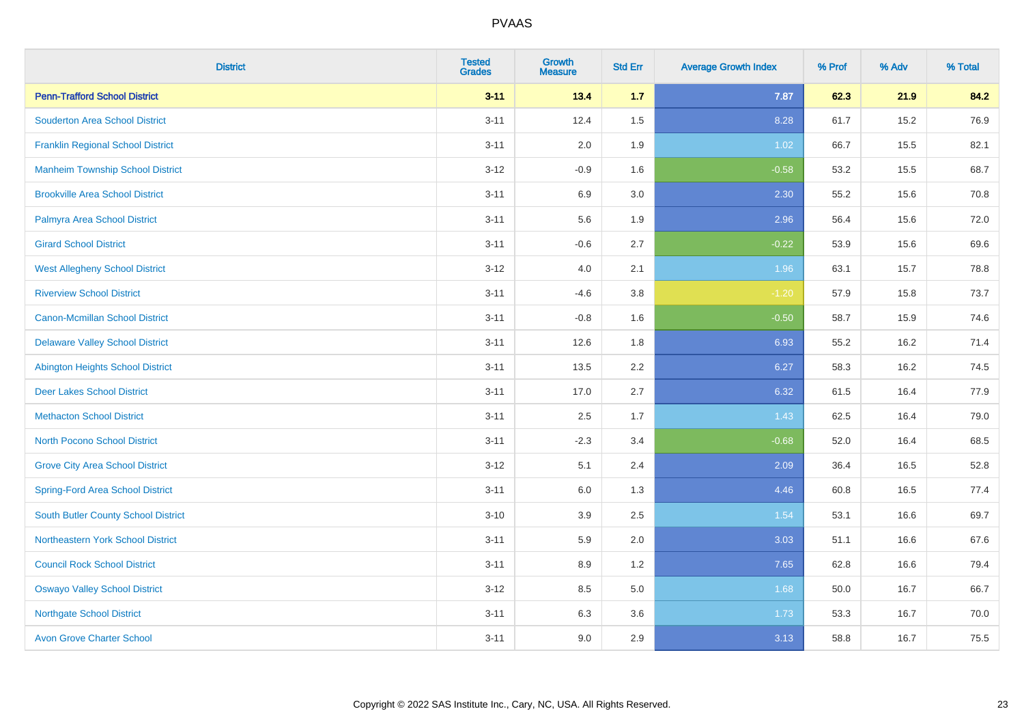| <b>District</b>                          | <b>Tested</b><br><b>Grades</b> | Growth<br><b>Measure</b> | <b>Std Err</b> | <b>Average Growth Index</b> | % Prof | % Adv | % Total |
|------------------------------------------|--------------------------------|--------------------------|----------------|-----------------------------|--------|-------|---------|
| <b>Penn-Trafford School District</b>     | $3 - 11$                       | 13.4                     | 1.7            | 7.87                        | 62.3   | 21.9  | 84.2    |
| <b>Souderton Area School District</b>    | $3 - 11$                       | 12.4                     | 1.5            | 8.28                        | 61.7   | 15.2  | 76.9    |
| <b>Franklin Regional School District</b> | $3 - 11$                       | 2.0                      | 1.9            | 1.02                        | 66.7   | 15.5  | 82.1    |
| <b>Manheim Township School District</b>  | $3 - 12$                       | $-0.9$                   | 1.6            | $-0.58$                     | 53.2   | 15.5  | 68.7    |
| <b>Brookville Area School District</b>   | $3 - 11$                       | 6.9                      | 3.0            | 2.30                        | 55.2   | 15.6  | 70.8    |
| Palmyra Area School District             | $3 - 11$                       | 5.6                      | 1.9            | 2.96                        | 56.4   | 15.6  | 72.0    |
| <b>Girard School District</b>            | $3 - 11$                       | $-0.6$                   | 2.7            | $-0.22$                     | 53.9   | 15.6  | 69.6    |
| <b>West Allegheny School District</b>    | $3 - 12$                       | 4.0                      | 2.1            | 1.96                        | 63.1   | 15.7  | 78.8    |
| <b>Riverview School District</b>         | $3 - 11$                       | $-4.6$                   | $3.8\,$        | $-1.20$                     | 57.9   | 15.8  | 73.7    |
| <b>Canon-Mcmillan School District</b>    | $3 - 11$                       | $-0.8$                   | 1.6            | $-0.50$                     | 58.7   | 15.9  | 74.6    |
| <b>Delaware Valley School District</b>   | $3 - 11$                       | 12.6                     | 1.8            | 6.93                        | 55.2   | 16.2  | 71.4    |
| <b>Abington Heights School District</b>  | $3 - 11$                       | 13.5                     | 2.2            | 6.27                        | 58.3   | 16.2  | 74.5    |
| <b>Deer Lakes School District</b>        | $3 - 11$                       | 17.0                     | 2.7            | 6.32                        | 61.5   | 16.4  | 77.9    |
| <b>Methacton School District</b>         | $3 - 11$                       | 2.5                      | 1.7            | 1.43                        | 62.5   | 16.4  | 79.0    |
| <b>North Pocono School District</b>      | $3 - 11$                       | $-2.3$                   | 3.4            | $-0.68$                     | 52.0   | 16.4  | 68.5    |
| <b>Grove City Area School District</b>   | $3 - 12$                       | 5.1                      | 2.4            | 2.09                        | 36.4   | 16.5  | 52.8    |
| <b>Spring-Ford Area School District</b>  | $3 - 11$                       | 6.0                      | 1.3            | 4.46                        | 60.8   | 16.5  | 77.4    |
| South Butler County School District      | $3 - 10$                       | 3.9                      | 2.5            | 1.54                        | 53.1   | 16.6  | 69.7    |
| Northeastern York School District        | $3 - 11$                       | 5.9                      | 2.0            | 3.03                        | 51.1   | 16.6  | 67.6    |
| <b>Council Rock School District</b>      | $3 - 11$                       | 8.9                      | 1.2            | 7.65                        | 62.8   | 16.6  | 79.4    |
| <b>Oswayo Valley School District</b>     | $3 - 12$                       | 8.5                      | 5.0            | 1.68                        | 50.0   | 16.7  | 66.7    |
| <b>Northgate School District</b>         | $3 - 11$                       | 6.3                      | 3.6            | 1.73                        | 53.3   | 16.7  | 70.0    |
| <b>Avon Grove Charter School</b>         | $3 - 11$                       | 9.0                      | 2.9            | 3.13                        | 58.8   | 16.7  | 75.5    |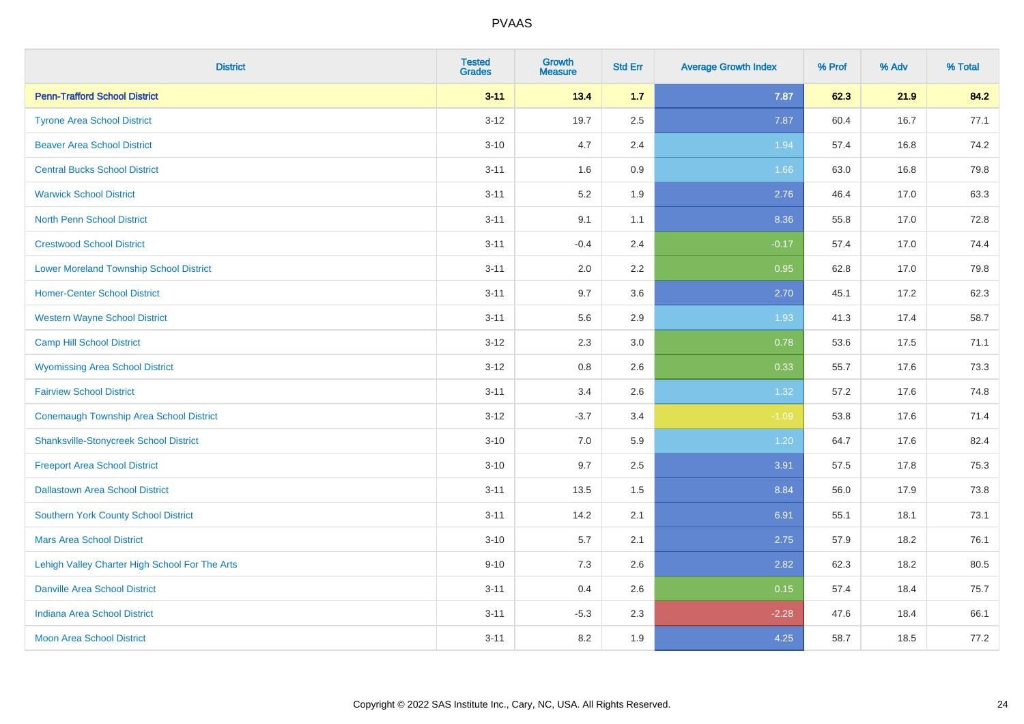| <b>District</b>                                | <b>Tested</b><br><b>Grades</b> | Growth<br><b>Measure</b> | <b>Std Err</b> | <b>Average Growth Index</b> | % Prof | % Adv | % Total |
|------------------------------------------------|--------------------------------|--------------------------|----------------|-----------------------------|--------|-------|---------|
| <b>Penn-Trafford School District</b>           | $3 - 11$                       | 13.4                     | 1.7            | 7.87                        | 62.3   | 21.9  | 84.2    |
| <b>Tyrone Area School District</b>             | $3 - 12$                       | 19.7                     | 2.5            | 7.87                        | 60.4   | 16.7  | 77.1    |
| <b>Beaver Area School District</b>             | $3 - 10$                       | 4.7                      | 2.4            | 1.94                        | 57.4   | 16.8  | 74.2    |
| <b>Central Bucks School District</b>           | $3 - 11$                       | 1.6                      | 0.9            | 1.66                        | 63.0   | 16.8  | 79.8    |
| <b>Warwick School District</b>                 | $3 - 11$                       | 5.2                      | 1.9            | 2.76                        | 46.4   | 17.0  | 63.3    |
| <b>North Penn School District</b>              | $3 - 11$                       | 9.1                      | 1.1            | 8.36                        | 55.8   | 17.0  | 72.8    |
| <b>Crestwood School District</b>               | $3 - 11$                       | $-0.4$                   | 2.4            | $-0.17$                     | 57.4   | 17.0  | 74.4    |
| <b>Lower Moreland Township School District</b> | $3 - 11$                       | 2.0                      | 2.2            | 0.95                        | 62.8   | 17.0  | 79.8    |
| <b>Homer-Center School District</b>            | $3 - 11$                       | 9.7                      | 3.6            | 2.70                        | 45.1   | 17.2  | 62.3    |
| <b>Western Wayne School District</b>           | $3 - 11$                       | 5.6                      | 2.9            | 1.93                        | 41.3   | 17.4  | 58.7    |
| <b>Camp Hill School District</b>               | $3 - 12$                       | 2.3                      | 3.0            | 0.78                        | 53.6   | 17.5  | 71.1    |
| <b>Wyomissing Area School District</b>         | $3 - 12$                       | 0.8                      | 2.6            | 0.33                        | 55.7   | 17.6  | 73.3    |
| <b>Fairview School District</b>                | $3 - 11$                       | 3.4                      | 2.6            | 1.32                        | 57.2   | 17.6  | 74.8    |
| <b>Conemaugh Township Area School District</b> | $3 - 12$                       | $-3.7$                   | 3.4            | $-1.09$                     | 53.8   | 17.6  | 71.4    |
| <b>Shanksville-Stonycreek School District</b>  | $3 - 10$                       | 7.0                      | 5.9            | 1.20                        | 64.7   | 17.6  | 82.4    |
| <b>Freeport Area School District</b>           | $3 - 10$                       | 9.7                      | 2.5            | 3.91                        | 57.5   | 17.8  | 75.3    |
| <b>Dallastown Area School District</b>         | $3 - 11$                       | 13.5                     | 1.5            | 8.84                        | 56.0   | 17.9  | 73.8    |
| Southern York County School District           | $3 - 11$                       | 14.2                     | 2.1            | 6.91                        | 55.1   | 18.1  | 73.1    |
| <b>Mars Area School District</b>               | $3 - 10$                       | 5.7                      | 2.1            | 2.75                        | 57.9   | 18.2  | 76.1    |
| Lehigh Valley Charter High School For The Arts | $9 - 10$                       | 7.3                      | 2.6            | 2.82                        | 62.3   | 18.2  | 80.5    |
| <b>Danville Area School District</b>           | $3 - 11$                       | 0.4                      | 2.6            | 0.15                        | 57.4   | 18.4  | 75.7    |
| <b>Indiana Area School District</b>            | $3 - 11$                       | $-5.3$                   | 2.3            | $-2.28$                     | 47.6   | 18.4  | 66.1    |
| <b>Moon Area School District</b>               | $3 - 11$                       | 8.2                      | 1.9            | 4.25                        | 58.7   | 18.5  | 77.2    |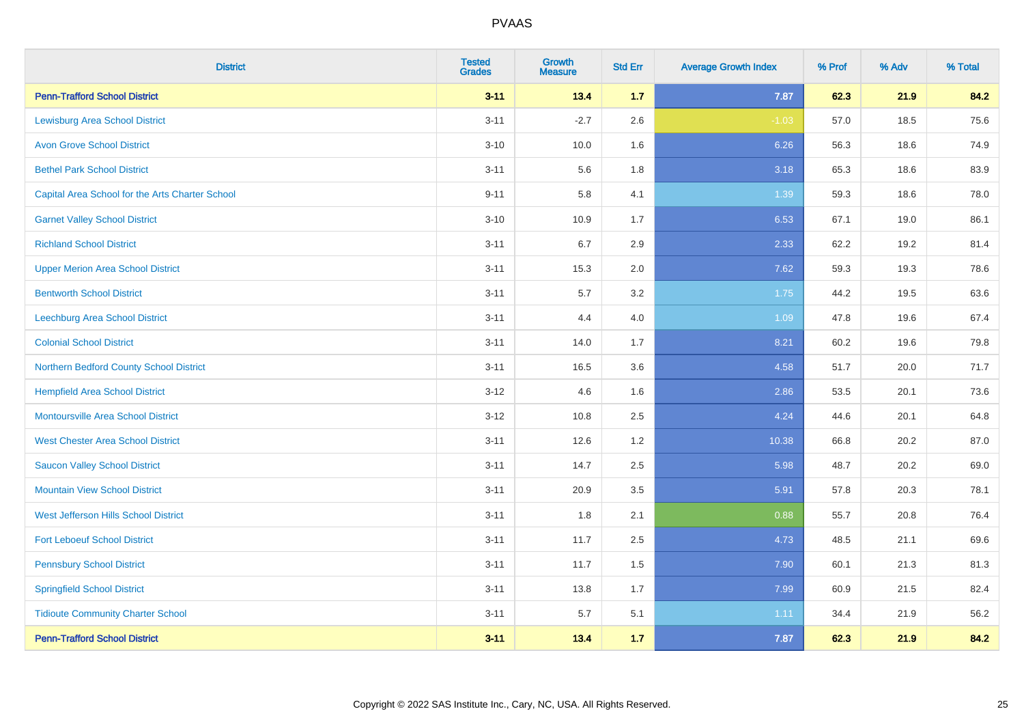| <b>District</b>                                 | <b>Tested</b><br><b>Grades</b> | <b>Growth</b><br><b>Measure</b> | <b>Std Err</b> | <b>Average Growth Index</b> | % Prof | % Adv | % Total |
|-------------------------------------------------|--------------------------------|---------------------------------|----------------|-----------------------------|--------|-------|---------|
| <b>Penn-Trafford School District</b>            | $3 - 11$                       | 13.4                            | 1.7            | 7.87                        | 62.3   | 21.9  | 84.2    |
| <b>Lewisburg Area School District</b>           | $3 - 11$                       | $-2.7$                          | 2.6            | $-1.03$                     | 57.0   | 18.5  | 75.6    |
| <b>Avon Grove School District</b>               | $3 - 10$                       | 10.0                            | 1.6            | 6.26                        | 56.3   | 18.6  | 74.9    |
| <b>Bethel Park School District</b>              | $3 - 11$                       | 5.6                             | 1.8            | 3.18                        | 65.3   | 18.6  | 83.9    |
| Capital Area School for the Arts Charter School | $9 - 11$                       | 5.8                             | 4.1            | 1.39                        | 59.3   | 18.6  | 78.0    |
| <b>Garnet Valley School District</b>            | $3 - 10$                       | 10.9                            | 1.7            | 6.53                        | 67.1   | 19.0  | 86.1    |
| <b>Richland School District</b>                 | $3 - 11$                       | 6.7                             | 2.9            | 2.33                        | 62.2   | 19.2  | 81.4    |
| <b>Upper Merion Area School District</b>        | $3 - 11$                       | 15.3                            | 2.0            | 7.62                        | 59.3   | 19.3  | 78.6    |
| <b>Bentworth School District</b>                | $3 - 11$                       | 5.7                             | 3.2            | 1.75                        | 44.2   | 19.5  | 63.6    |
| Leechburg Area School District                  | $3 - 11$                       | 4.4                             | 4.0            | 1.09                        | 47.8   | 19.6  | 67.4    |
| <b>Colonial School District</b>                 | $3 - 11$                       | 14.0                            | 1.7            | 8.21                        | 60.2   | 19.6  | 79.8    |
| Northern Bedford County School District         | $3 - 11$                       | 16.5                            | 3.6            | 4.58                        | 51.7   | 20.0  | 71.7    |
| <b>Hempfield Area School District</b>           | $3 - 12$                       | 4.6                             | 1.6            | 2.86                        | 53.5   | 20.1  | 73.6    |
| <b>Montoursville Area School District</b>       | $3 - 12$                       | 10.8                            | 2.5            | 4.24                        | 44.6   | 20.1  | 64.8    |
| <b>West Chester Area School District</b>        | $3 - 11$                       | 12.6                            | 1.2            | 10.38                       | 66.8   | 20.2  | 87.0    |
| <b>Saucon Valley School District</b>            | $3 - 11$                       | 14.7                            | 2.5            | 5.98                        | 48.7   | 20.2  | 69.0    |
| <b>Mountain View School District</b>            | $3 - 11$                       | 20.9                            | 3.5            | 5.91                        | 57.8   | 20.3  | 78.1    |
| West Jefferson Hills School District            | $3 - 11$                       | 1.8                             | 2.1            | 0.88                        | 55.7   | 20.8  | 76.4    |
| <b>Fort Leboeuf School District</b>             | $3 - 11$                       | 11.7                            | 2.5            | 4.73                        | 48.5   | 21.1  | 69.6    |
| <b>Pennsbury School District</b>                | $3 - 11$                       | 11.7                            | 1.5            | 7.90                        | 60.1   | 21.3  | 81.3    |
| <b>Springfield School District</b>              | $3 - 11$                       | 13.8                            | 1.7            | 7.99                        | 60.9   | 21.5  | 82.4    |
| <b>Tidioute Community Charter School</b>        | $3 - 11$                       | 5.7                             | 5.1            | 1.11                        | 34.4   | 21.9  | 56.2    |
| <b>Penn-Trafford School District</b>            | $3 - 11$                       | 13.4                            | 1.7            | 7.87                        | 62.3   | 21.9  | 84.2    |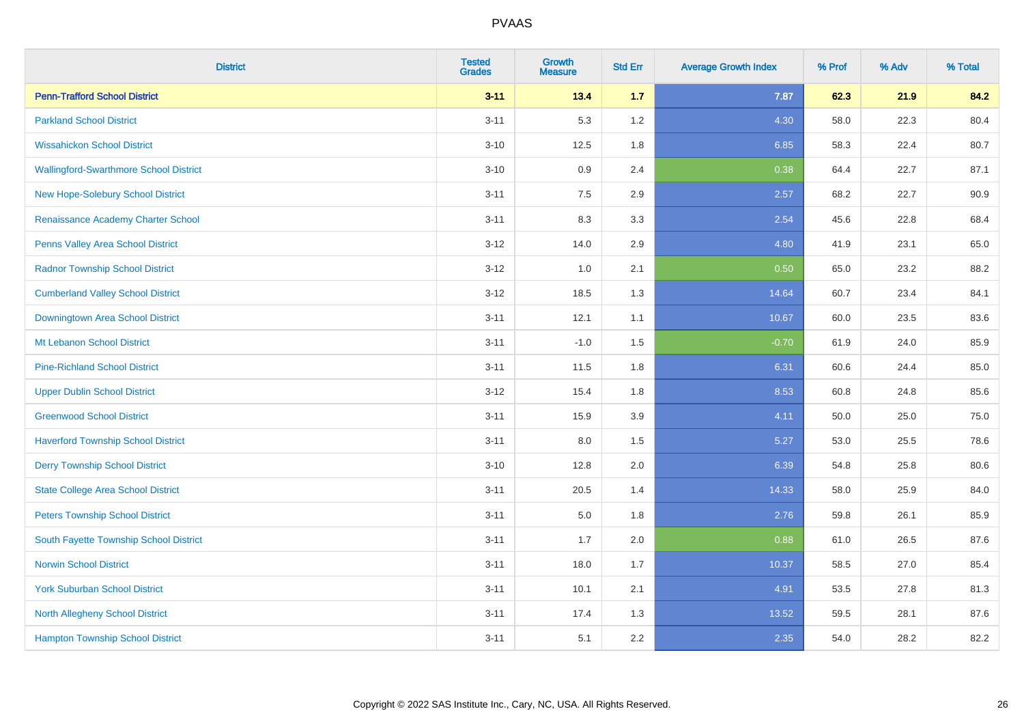| <b>District</b>                               | <b>Tested</b><br><b>Grades</b> | <b>Growth</b><br><b>Measure</b> | <b>Std Err</b> | <b>Average Growth Index</b> | % Prof | % Adv | % Total |
|-----------------------------------------------|--------------------------------|---------------------------------|----------------|-----------------------------|--------|-------|---------|
| <b>Penn-Trafford School District</b>          | $3 - 11$                       | 13.4                            | $1.7$          | 7.87                        | 62.3   | 21.9  | 84.2    |
| <b>Parkland School District</b>               | $3 - 11$                       | 5.3                             | 1.2            | 4.30                        | 58.0   | 22.3  | 80.4    |
| <b>Wissahickon School District</b>            | $3 - 10$                       | 12.5                            | 1.8            | 6.85                        | 58.3   | 22.4  | 80.7    |
| <b>Wallingford-Swarthmore School District</b> | $3 - 10$                       | 0.9                             | 2.4            | 0.38                        | 64.4   | 22.7  | 87.1    |
| <b>New Hope-Solebury School District</b>      | $3 - 11$                       | 7.5                             | 2.9            | 2.57                        | 68.2   | 22.7  | 90.9    |
| Renaissance Academy Charter School            | $3 - 11$                       | 8.3                             | 3.3            | 2.54                        | 45.6   | 22.8  | 68.4    |
| Penns Valley Area School District             | $3 - 12$                       | 14.0                            | 2.9            | 4.80                        | 41.9   | 23.1  | 65.0    |
| <b>Radnor Township School District</b>        | $3 - 12$                       | 1.0                             | 2.1            | 0.50                        | 65.0   | 23.2  | 88.2    |
| <b>Cumberland Valley School District</b>      | $3 - 12$                       | 18.5                            | 1.3            | 14.64                       | 60.7   | 23.4  | 84.1    |
| Downingtown Area School District              | $3 - 11$                       | 12.1                            | 1.1            | 10.67                       | 60.0   | 23.5  | 83.6    |
| Mt Lebanon School District                    | $3 - 11$                       | $-1.0$                          | 1.5            | $-0.70$                     | 61.9   | 24.0  | 85.9    |
| <b>Pine-Richland School District</b>          | $3 - 11$                       | 11.5                            | 1.8            | 6.31                        | 60.6   | 24.4  | 85.0    |
| <b>Upper Dublin School District</b>           | $3 - 12$                       | 15.4                            | 1.8            | 8.53                        | 60.8   | 24.8  | 85.6    |
| <b>Greenwood School District</b>              | $3 - 11$                       | 15.9                            | 3.9            | 4.11                        | 50.0   | 25.0  | 75.0    |
| <b>Haverford Township School District</b>     | $3 - 11$                       | 8.0                             | 1.5            | 5.27                        | 53.0   | 25.5  | 78.6    |
| <b>Derry Township School District</b>         | $3 - 10$                       | 12.8                            | 2.0            | 6.39                        | 54.8   | 25.8  | 80.6    |
| <b>State College Area School District</b>     | $3 - 11$                       | 20.5                            | 1.4            | 14.33                       | 58.0   | 25.9  | 84.0    |
| <b>Peters Township School District</b>        | $3 - 11$                       | 5.0                             | 1.8            | 2.76                        | 59.8   | 26.1  | 85.9    |
| South Fayette Township School District        | $3 - 11$                       | 1.7                             | 2.0            | 0.88                        | 61.0   | 26.5  | 87.6    |
| <b>Norwin School District</b>                 | $3 - 11$                       | 18.0                            | 1.7            | 10.37                       | 58.5   | 27.0  | 85.4    |
| <b>York Suburban School District</b>          | $3 - 11$                       | 10.1                            | 2.1            | 4.91                        | 53.5   | 27.8  | 81.3    |
| North Allegheny School District               | $3 - 11$                       | 17.4                            | 1.3            | 13.52                       | 59.5   | 28.1  | 87.6    |
| <b>Hampton Township School District</b>       | $3 - 11$                       | 5.1                             | 2.2            | 2.35                        | 54.0   | 28.2  | 82.2    |